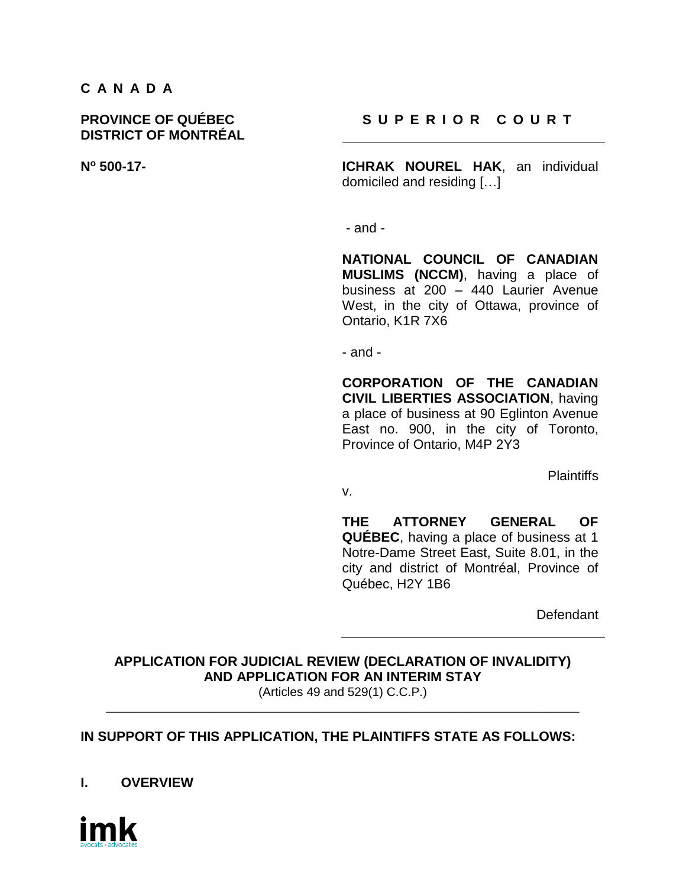#### **C A N A D A**

# **DISTRICT OF MONTRÉAL**

## **PROVINCE OF QUÉBEC S U P E R I O R C O U R T**

**N<sup>o</sup> 500-17- ICHRAK NOUREL HAK**, an individual domiciled and residing […]

- and -

**NATIONAL COUNCIL OF CANADIAN MUSLIMS (NCCM)**, having a place of business at 200 – 440 Laurier Avenue West, in the city of Ottawa, province of Ontario, K1R 7X6

- and -

**CORPORATION OF THE CANADIAN CIVIL LIBERTIES ASSOCIATION**, having a place of business at 90 Eglinton Avenue East no. 900, in the city of Toronto, Province of Ontario, M4P 2Y3

**Plaintiffs** 

v.

**THE ATTORNEY GENERAL OF QUÉBEC**, having a place of business at 1 Notre-Dame Street East, Suite 8.01, in the city and district of Montréal, Province of Québec, H2Y 1B6

**Defendant** 

**APPLICATION FOR JUDICIAL REVIEW (DECLARATION OF INVALIDITY) AND APPLICATION FOR AN INTERIM STAY** (Articles 49 and 529(1) C.C.P.)

\_\_\_\_\_\_\_\_\_\_\_\_\_\_\_\_\_\_\_\_\_\_\_\_\_\_\_\_\_\_\_\_\_\_\_\_\_\_\_\_\_\_\_\_\_\_\_\_\_\_\_\_\_\_\_\_\_\_\_\_\_\_\_\_\_\_\_\_\_

## **IN SUPPORT OF THIS APPLICATION, THE PLAINTIFFS STATE AS FOLLOWS:**

**I. OVERVIEW**

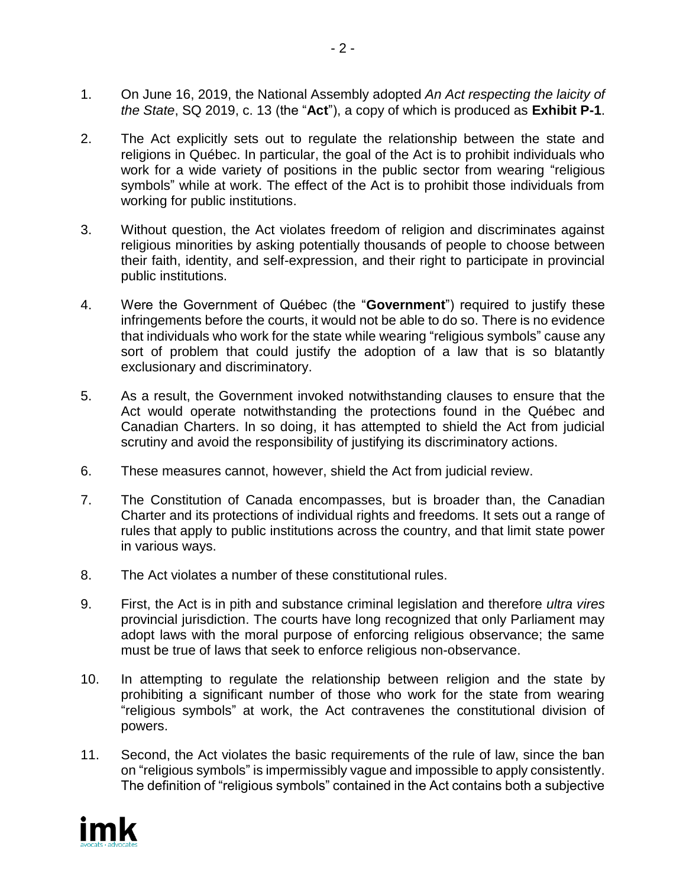- 1. On June 16, 2019, the National Assembly adopted *An Act respecting the laicity of the State*, SQ 2019, c. 13 (the "**Act**"), a copy of which is produced as **Exhibit P-1**.
- 2. The Act explicitly sets out to regulate the relationship between the state and religions in Québec. In particular, the goal of the Act is to prohibit individuals who work for a wide variety of positions in the public sector from wearing "religious symbols" while at work. The effect of the Act is to prohibit those individuals from working for public institutions.
- 3. Without question, the Act violates freedom of religion and discriminates against religious minorities by asking potentially thousands of people to choose between their faith, identity, and self-expression, and their right to participate in provincial public institutions.
- 4. Were the Government of Québec (the "**Government**") required to justify these infringements before the courts, it would not be able to do so. There is no evidence that individuals who work for the state while wearing "religious symbols" cause any sort of problem that could justify the adoption of a law that is so blatantly exclusionary and discriminatory.
- 5. As a result, the Government invoked notwithstanding clauses to ensure that the Act would operate notwithstanding the protections found in the Québec and Canadian Charters. In so doing, it has attempted to shield the Act from judicial scrutiny and avoid the responsibility of justifying its discriminatory actions.
- 6. These measures cannot, however, shield the Act from judicial review.
- 7. The Constitution of Canada encompasses, but is broader than, the Canadian Charter and its protections of individual rights and freedoms. It sets out a range of rules that apply to public institutions across the country, and that limit state power in various ways.
- 8. The Act violates a number of these constitutional rules.
- 9. First, the Act is in pith and substance criminal legislation and therefore *ultra vires* provincial jurisdiction. The courts have long recognized that only Parliament may adopt laws with the moral purpose of enforcing religious observance; the same must be true of laws that seek to enforce religious non-observance.
- 10. In attempting to regulate the relationship between religion and the state by prohibiting a significant number of those who work for the state from wearing "religious symbols" at work, the Act contravenes the constitutional division of powers.
- 11. Second, the Act violates the basic requirements of the rule of law, since the ban on "religious symbols" is impermissibly vague and impossible to apply consistently. The definition of "religious symbols" contained in the Act contains both a subjective

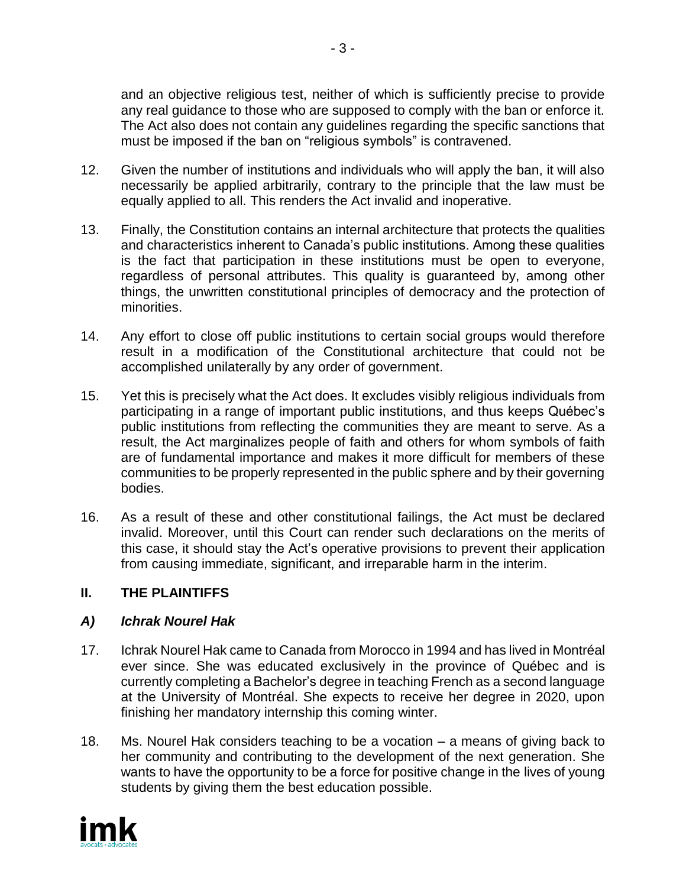and an objective religious test, neither of which is sufficiently precise to provide any real guidance to those who are supposed to comply with the ban or enforce it. The Act also does not contain any guidelines regarding the specific sanctions that must be imposed if the ban on "religious symbols" is contravened.

- 12. Given the number of institutions and individuals who will apply the ban, it will also necessarily be applied arbitrarily, contrary to the principle that the law must be equally applied to all. This renders the Act invalid and inoperative.
- 13. Finally, the Constitution contains an internal architecture that protects the qualities and characteristics inherent to Canada's public institutions. Among these qualities is the fact that participation in these institutions must be open to everyone, regardless of personal attributes. This quality is guaranteed by, among other things, the unwritten constitutional principles of democracy and the protection of minorities.
- 14. Any effort to close off public institutions to certain social groups would therefore result in a modification of the Constitutional architecture that could not be accomplished unilaterally by any order of government.
- 15. Yet this is precisely what the Act does. It excludes visibly religious individuals from participating in a range of important public institutions, and thus keeps Québec's public institutions from reflecting the communities they are meant to serve. As a result, the Act marginalizes people of faith and others for whom symbols of faith are of fundamental importance and makes it more difficult for members of these communities to be properly represented in the public sphere and by their governing bodies.
- 16. As a result of these and other constitutional failings, the Act must be declared invalid. Moreover, until this Court can render such declarations on the merits of this case, it should stay the Act's operative provisions to prevent their application from causing immediate, significant, and irreparable harm in the interim.

## **II. THE PLAINTIFFS**

## *A) Ichrak Nourel Hak*

- 17. Ichrak Nourel Hak came to Canada from Morocco in 1994 and has lived in Montréal ever since. She was educated exclusively in the province of Québec and is currently completing a Bachelor's degree in teaching French as a second language at the University of Montréal. She expects to receive her degree in 2020, upon finishing her mandatory internship this coming winter.
- 18. Ms. Nourel Hak considers teaching to be a vocation a means of giving back to her community and contributing to the development of the next generation. She wants to have the opportunity to be a force for positive change in the lives of young students by giving them the best education possible.

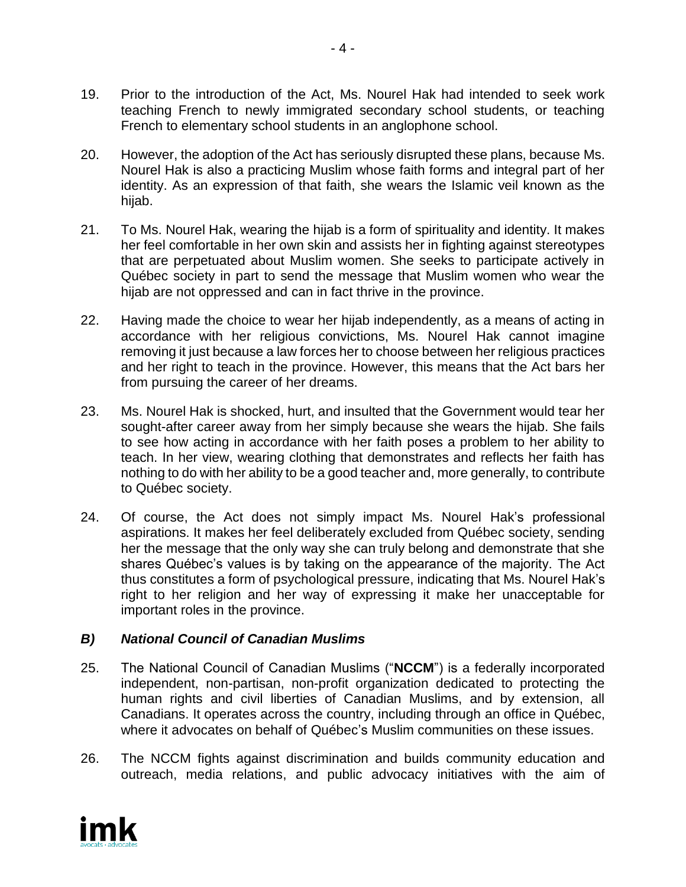- 19. Prior to the introduction of the Act, Ms. Nourel Hak had intended to seek work teaching French to newly immigrated secondary school students, or teaching French to elementary school students in an anglophone school.
- 20. However, the adoption of the Act has seriously disrupted these plans, because Ms. Nourel Hak is also a practicing Muslim whose faith forms and integral part of her identity. As an expression of that faith, she wears the Islamic veil known as the hijab.
- 21. To Ms. Nourel Hak, wearing the hijab is a form of spirituality and identity. It makes her feel comfortable in her own skin and assists her in fighting against stereotypes that are perpetuated about Muslim women. She seeks to participate actively in Québec society in part to send the message that Muslim women who wear the hijab are not oppressed and can in fact thrive in the province.
- 22. Having made the choice to wear her hijab independently, as a means of acting in accordance with her religious convictions, Ms. Nourel Hak cannot imagine removing it just because a law forces her to choose between her religious practices and her right to teach in the province. However, this means that the Act bars her from pursuing the career of her dreams.
- 23. Ms. Nourel Hak is shocked, hurt, and insulted that the Government would tear her sought-after career away from her simply because she wears the hijab. She fails to see how acting in accordance with her faith poses a problem to her ability to teach. In her view, wearing clothing that demonstrates and reflects her faith has nothing to do with her ability to be a good teacher and, more generally, to contribute to Québec society.
- 24. Of course, the Act does not simply impact Ms. Nourel Hak's professional aspirations. It makes her feel deliberately excluded from Québec society, sending her the message that the only way she can truly belong and demonstrate that she shares Québec's values is by taking on the appearance of the majority. The Act thus constitutes a form of psychological pressure, indicating that Ms. Nourel Hak's right to her religion and her way of expressing it make her unacceptable for important roles in the province.

## *B) National Council of Canadian Muslims*

- 25. The National Council of Canadian Muslims ("**NCCM**") is a federally incorporated independent, non-partisan, non-profit organization dedicated to protecting the human rights and civil liberties of Canadian Muslims, and by extension, all Canadians. It operates across the country, including through an office in Québec, where it advocates on behalf of Québec's Muslim communities on these issues.
- 26. The NCCM fights against discrimination and builds community education and outreach, media relations, and public advocacy initiatives with the aim of

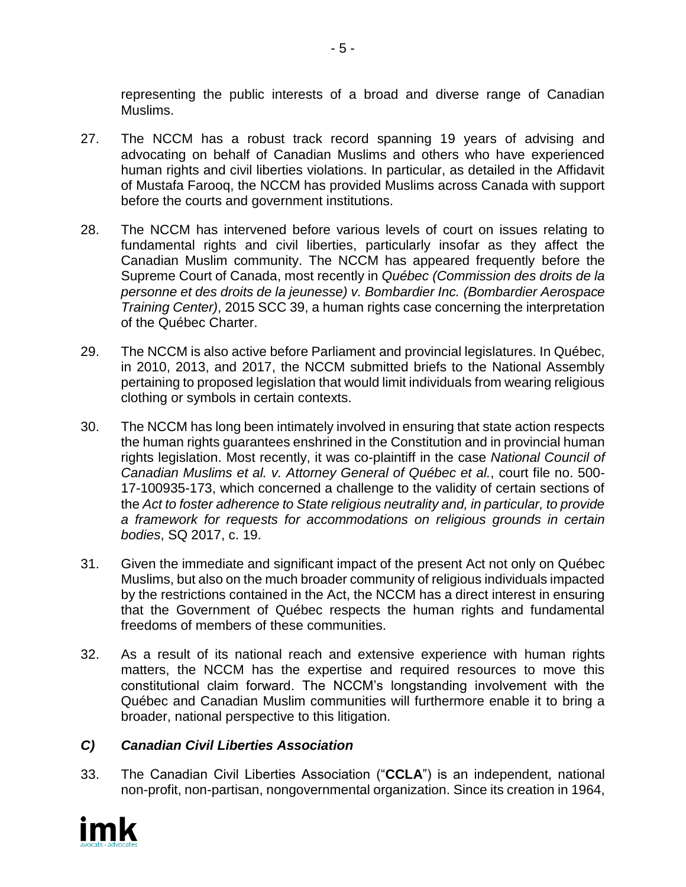representing the public interests of a broad and diverse range of Canadian Muslims.

- 27. The NCCM has a robust track record spanning 19 years of advising and advocating on behalf of Canadian Muslims and others who have experienced human rights and civil liberties violations. In particular, as detailed in the Affidavit of Mustafa Farooq, the NCCM has provided Muslims across Canada with support before the courts and government institutions.
- 28. The NCCM has intervened before various levels of court on issues relating to fundamental rights and civil liberties, particularly insofar as they affect the Canadian Muslim community. The NCCM has appeared frequently before the Supreme Court of Canada, most recently in *Québec (Commission des droits de la personne et des droits de la jeunesse) v. Bombardier Inc. (Bombardier Aerospace Training Center)*, 2015 SCC 39, a human rights case concerning the interpretation of the Québec Charter.
- 29. The NCCM is also active before Parliament and provincial legislatures. In Québec, in 2010, 2013, and 2017, the NCCM submitted briefs to the National Assembly pertaining to proposed legislation that would limit individuals from wearing religious clothing or symbols in certain contexts.
- 30. The NCCM has long been intimately involved in ensuring that state action respects the human rights guarantees enshrined in the Constitution and in provincial human rights legislation. Most recently, it was co-plaintiff in the case *National Council of Canadian Muslims et al. v. Attorney General of Québec et al.*, court file no. 500- 17-100935-173, which concerned a challenge to the validity of certain sections of the *Act to foster adherence to State religious neutrality and, in particular, to provide a framework for requests for accommodations on religious grounds in certain bodies*, SQ 2017, c. 19.
- 31. Given the immediate and significant impact of the present Act not only on Québec Muslims, but also on the much broader community of religious individuals impacted by the restrictions contained in the Act, the NCCM has a direct interest in ensuring that the Government of Québec respects the human rights and fundamental freedoms of members of these communities.
- 32. As a result of its national reach and extensive experience with human rights matters, the NCCM has the expertise and required resources to move this constitutional claim forward. The NCCM's longstanding involvement with the Québec and Canadian Muslim communities will furthermore enable it to bring a broader, national perspective to this litigation.

# *C) Canadian Civil Liberties Association*

33. The Canadian Civil Liberties Association ("**CCLA**") is an independent, national non-profit, non-partisan, nongovernmental organization. Since its creation in 1964,

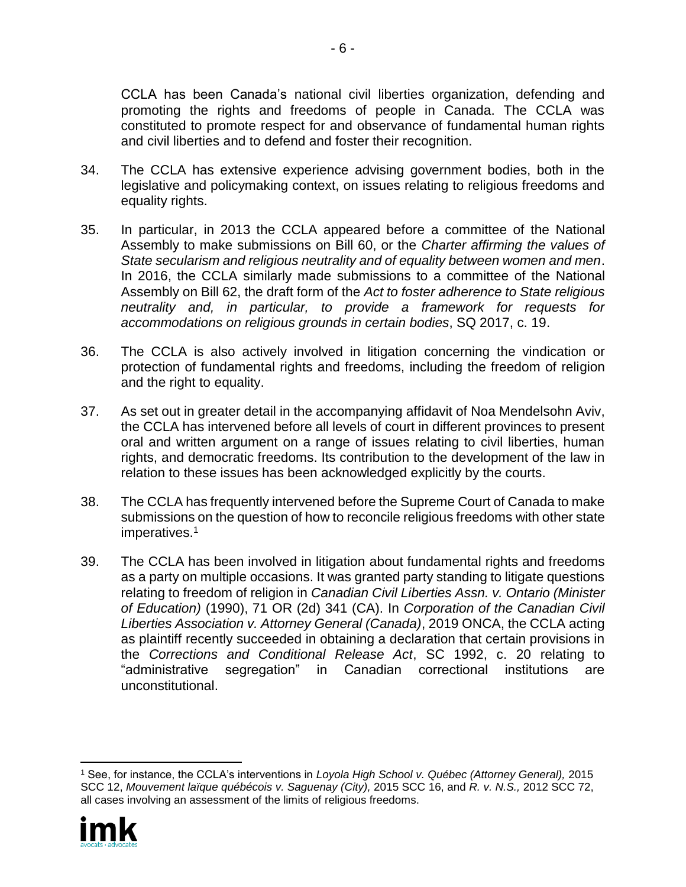CCLA has been Canada's national civil liberties organization, defending and promoting the rights and freedoms of people in Canada. The CCLA was constituted to promote respect for and observance of fundamental human rights and civil liberties and to defend and foster their recognition.

- 34. The CCLA has extensive experience advising government bodies, both in the legislative and policymaking context, on issues relating to religious freedoms and equality rights.
- 35. In particular, in 2013 the CCLA appeared before a committee of the National Assembly to make submissions on Bill 60, or the *Charter affirming the values of State secularism and religious neutrality and of equality between women and men*. In 2016, the CCLA similarly made submissions to a committee of the National Assembly on Bill 62, the draft form of the *Act to foster adherence to State religious neutrality and, in particular, to provide a framework for requests for accommodations on religious grounds in certain bodies*, SQ 2017, c. 19.
- 36. The CCLA is also actively involved in litigation concerning the vindication or protection of fundamental rights and freedoms, including the freedom of religion and the right to equality.
- 37. As set out in greater detail in the accompanying affidavit of Noa Mendelsohn Aviv, the CCLA has intervened before all levels of court in different provinces to present oral and written argument on a range of issues relating to civil liberties, human rights, and democratic freedoms. Its contribution to the development of the law in relation to these issues has been acknowledged explicitly by the courts.
- 38. The CCLA has frequently intervened before the Supreme Court of Canada to make submissions on the question of how to reconcile religious freedoms with other state imperatives.<sup>1</sup>
- 39. The CCLA has been involved in litigation about fundamental rights and freedoms as a party on multiple occasions. It was granted party standing to litigate questions relating to freedom of religion in *Canadian Civil Liberties Assn. v. Ontario (Minister of Education)* (1990), 71 OR (2d) 341 (CA). In *Corporation of the Canadian Civil Liberties Association v. Attorney General (Canada)*, 2019 ONCA, the CCLA acting as plaintiff recently succeeded in obtaining a declaration that certain provisions in the *Corrections and Conditional Release Act*, SC 1992, c. 20 relating to "administrative segregation" in Canadian correctional institutions are unconstitutional.

<sup>1</sup> See, for instance, the CCLA's interventions in *Loyola High School v. Québec (Attorney General),* 2015 SCC 12, *Mouvement laïque québécois v. Saguenay (City),* 2015 SCC 16, and *R. v. N.S.,* 2012 SCC 72, all cases involving an assessment of the limits of religious freedoms.

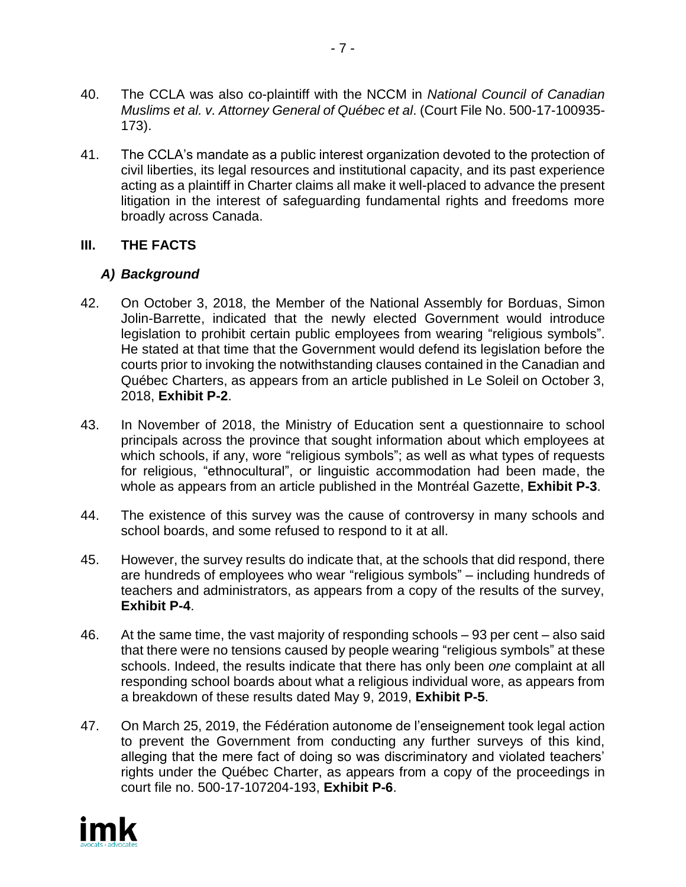- 40. The CCLA was also co-plaintiff with the NCCM in *National Council of Canadian Muslims et al. v. Attorney General of Québec et al*. (Court File No. 500-17-100935- 173).
- 41. The CCLA's mandate as a public interest organization devoted to the protection of civil liberties, its legal resources and institutional capacity, and its past experience acting as a plaintiff in Charter claims all make it well-placed to advance the present litigation in the interest of safeguarding fundamental rights and freedoms more broadly across Canada.

# **III. THE FACTS**

## *A) Background*

- 42. On October 3, 2018, the Member of the National Assembly for Borduas, Simon Jolin-Barrette, indicated that the newly elected Government would introduce legislation to prohibit certain public employees from wearing "religious symbols". He stated at that time that the Government would defend its legislation before the courts prior to invoking the notwithstanding clauses contained in the Canadian and Québec Charters, as appears from an article published in Le Soleil on October 3, 2018, **Exhibit P-2**.
- 43. In November of 2018, the Ministry of Education sent a questionnaire to school principals across the province that sought information about which employees at which schools, if any, wore "religious symbols"; as well as what types of requests for religious, "ethnocultural", or linguistic accommodation had been made, the whole as appears from an article published in the Montréal Gazette, **Exhibit P-3**.
- 44. The existence of this survey was the cause of controversy in many schools and school boards, and some refused to respond to it at all.
- 45. However, the survey results do indicate that, at the schools that did respond, there are hundreds of employees who wear "religious symbols" – including hundreds of teachers and administrators, as appears from a copy of the results of the survey, **Exhibit P-4**.
- 46. At the same time, the vast majority of responding schools 93 per cent also said that there were no tensions caused by people wearing "religious symbols" at these schools. Indeed, the results indicate that there has only been *one* complaint at all responding school boards about what a religious individual wore, as appears from a breakdown of these results dated May 9, 2019, **Exhibit P-5**.
- 47. On March 25, 2019, the Fédération autonome de l'enseignement took legal action to prevent the Government from conducting any further surveys of this kind, alleging that the mere fact of doing so was discriminatory and violated teachers' rights under the Québec Charter, as appears from a copy of the proceedings in court file no. 500-17-107204-193, **Exhibit P-6**.

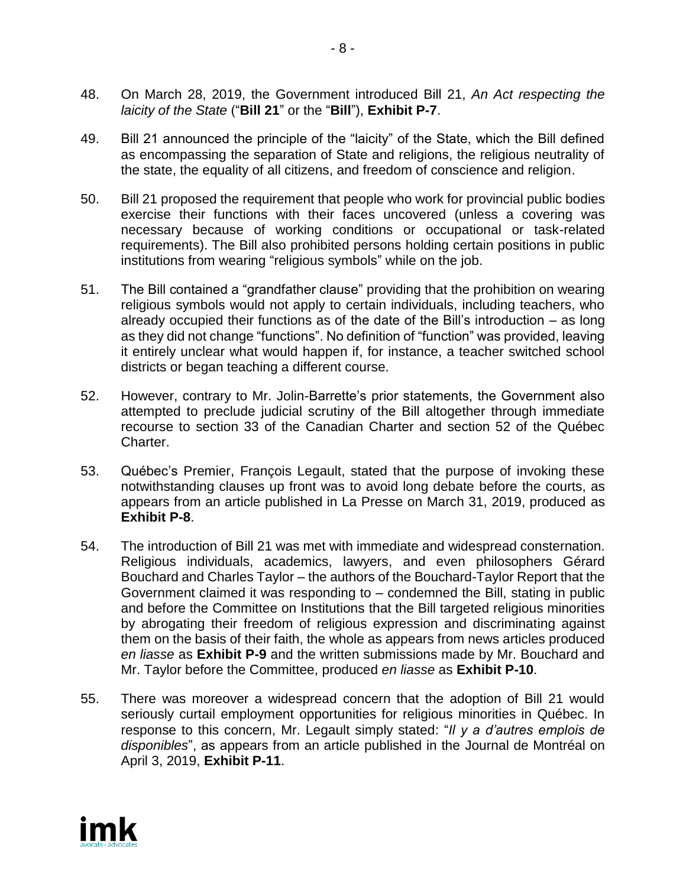- 48. On March 28, 2019, the Government introduced Bill 21, *An Act respecting the laicity of the State* ("**Bill 21**" or the "**Bill**"), **Exhibit P-7**.
- 49. Bill 21 announced the principle of the "laicity" of the State, which the Bill defined as encompassing the separation of State and religions, the religious neutrality of the state, the equality of all citizens, and freedom of conscience and religion.
- 50. Bill 21 proposed the requirement that people who work for provincial public bodies exercise their functions with their faces uncovered (unless a covering was necessary because of working conditions or occupational or task-related requirements). The Bill also prohibited persons holding certain positions in public institutions from wearing "religious symbols" while on the job.
- 51. The Bill contained a "grandfather clause" providing that the prohibition on wearing religious symbols would not apply to certain individuals, including teachers, who already occupied their functions as of the date of the Bill's introduction – as long as they did not change "functions". No definition of "function" was provided, leaving it entirely unclear what would happen if, for instance, a teacher switched school districts or began teaching a different course.
- 52. However, contrary to Mr. Jolin-Barrette's prior statements, the Government also attempted to preclude judicial scrutiny of the Bill altogether through immediate recourse to section 33 of the Canadian Charter and section 52 of the Québec Charter.
- 53. Québec's Premier, François Legault, stated that the purpose of invoking these notwithstanding clauses up front was to avoid long debate before the courts, as appears from an article published in La Presse on March 31, 2019, produced as **Exhibit P-8**.
- 54. The introduction of Bill 21 was met with immediate and widespread consternation. Religious individuals, academics, lawyers, and even philosophers Gérard Bouchard and Charles Taylor – the authors of the Bouchard-Taylor Report that the Government claimed it was responding to – condemned the Bill, stating in public and before the Committee on Institutions that the Bill targeted religious minorities by abrogating their freedom of religious expression and discriminating against them on the basis of their faith, the whole as appears from news articles produced *en liasse* as **Exhibit P-9** and the written submissions made by Mr. Bouchard and Mr. Taylor before the Committee, produced *en liasse* as **Exhibit P-10**.
- 55. There was moreover a widespread concern that the adoption of Bill 21 would seriously curtail employment opportunities for religious minorities in Québec. In response to this concern, Mr. Legault simply stated: "*Il y a d'autres emplois de disponibles*", as appears from an article published in the Journal de Montréal on April 3, 2019, **Exhibit P-11**.

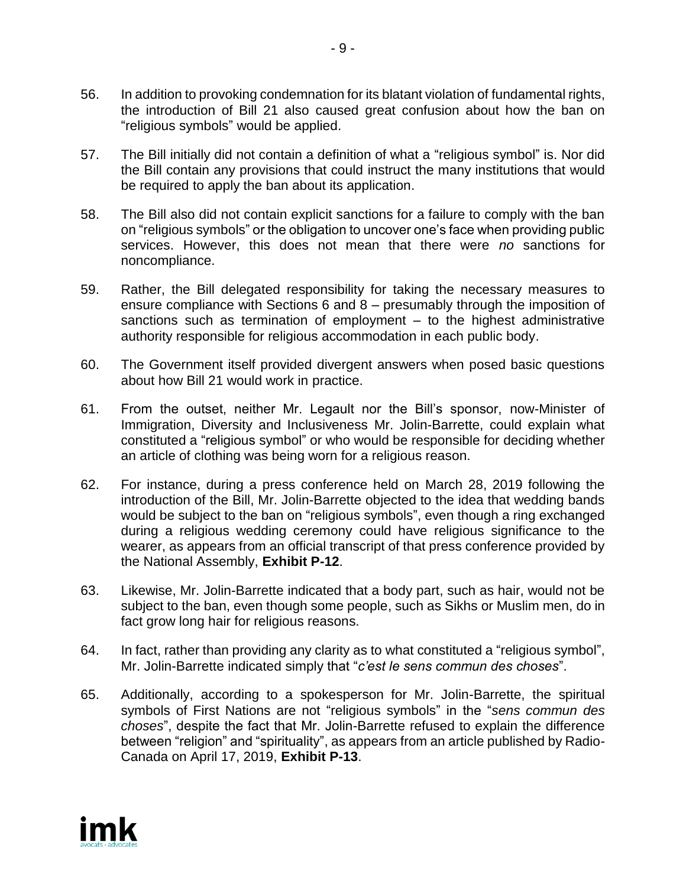- 56. In addition to provoking condemnation for its blatant violation of fundamental rights, the introduction of Bill 21 also caused great confusion about how the ban on "religious symbols" would be applied.
- 57. The Bill initially did not contain a definition of what a "religious symbol" is. Nor did the Bill contain any provisions that could instruct the many institutions that would be required to apply the ban about its application.
- 58. The Bill also did not contain explicit sanctions for a failure to comply with the ban on "religious symbols" or the obligation to uncover one's face when providing public services. However, this does not mean that there were *no* sanctions for noncompliance.
- 59. Rather, the Bill delegated responsibility for taking the necessary measures to ensure compliance with Sections 6 and 8 – presumably through the imposition of sanctions such as termination of employment – to the highest administrative authority responsible for religious accommodation in each public body.
- 60. The Government itself provided divergent answers when posed basic questions about how Bill 21 would work in practice.
- 61. From the outset, neither Mr. Legault nor the Bill's sponsor, now-Minister of Immigration, Diversity and Inclusiveness Mr. Jolin-Barrette, could explain what constituted a "religious symbol" or who would be responsible for deciding whether an article of clothing was being worn for a religious reason.
- 62. For instance, during a press conference held on March 28, 2019 following the introduction of the Bill, Mr. Jolin-Barrette objected to the idea that wedding bands would be subject to the ban on "religious symbols", even though a ring exchanged during a religious wedding ceremony could have religious significance to the wearer, as appears from an official transcript of that press conference provided by the National Assembly, **Exhibit P-12**.
- 63. Likewise, Mr. Jolin-Barrette indicated that a body part, such as hair, would not be subject to the ban, even though some people, such as Sikhs or Muslim men, do in fact grow long hair for religious reasons.
- 64. In fact, rather than providing any clarity as to what constituted a "religious symbol", Mr. Jolin-Barrette indicated simply that "*c'est le sens commun des choses*".
- 65. Additionally, according to a spokesperson for Mr. Jolin-Barrette, the spiritual symbols of First Nations are not "religious symbols" in the "*sens commun des choses*", despite the fact that Mr. Jolin-Barrette refused to explain the difference between "religion" and "spirituality", as appears from an article published by Radio-Canada on April 17, 2019, **Exhibit P-13**.

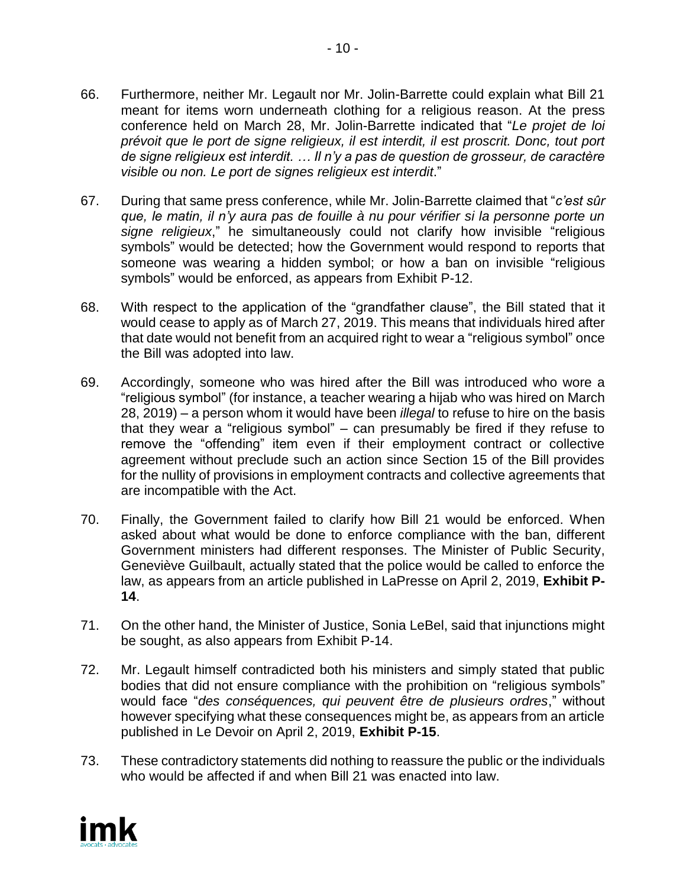- 66. Furthermore, neither Mr. Legault nor Mr. Jolin-Barrette could explain what Bill 21 meant for items worn underneath clothing for a religious reason. At the press conference held on March 28, Mr. Jolin-Barrette indicated that "*Le projet de loi prévoit que le port de signe religieux, il est interdit, il est proscrit. Donc, tout port de signe religieux est interdit. … Il n'y a pas de question de grosseur, de caractère visible ou non. Le port de signes religieux est interdit*."
- 67. During that same press conference, while Mr. Jolin-Barrette claimed that "*c'est sûr que, le matin, il n'y aura pas de fouille à nu pour vérifier si la personne porte un signe religieux*," he simultaneously could not clarify how invisible "religious symbols" would be detected; how the Government would respond to reports that someone was wearing a hidden symbol; or how a ban on invisible "religious symbols" would be enforced, as appears from Exhibit P-12.
- 68. With respect to the application of the "grandfather clause", the Bill stated that it would cease to apply as of March 27, 2019. This means that individuals hired after that date would not benefit from an acquired right to wear a "religious symbol" once the Bill was adopted into law.
- 69. Accordingly, someone who was hired after the Bill was introduced who wore a "religious symbol" (for instance, a teacher wearing a hijab who was hired on March 28, 2019) – a person whom it would have been *illegal* to refuse to hire on the basis that they wear a "religious symbol" – can presumably be fired if they refuse to remove the "offending" item even if their employment contract or collective agreement without preclude such an action since Section 15 of the Bill provides for the nullity of provisions in employment contracts and collective agreements that are incompatible with the Act.
- 70. Finally, the Government failed to clarify how Bill 21 would be enforced. When asked about what would be done to enforce compliance with the ban, different Government ministers had different responses. The Minister of Public Security, Geneviève Guilbault, actually stated that the police would be called to enforce the law, as appears from an article published in LaPresse on April 2, 2019, **Exhibit P-14**.
- 71. On the other hand, the Minister of Justice, Sonia LeBel, said that injunctions might be sought, as also appears from Exhibit P-14.
- 72. Mr. Legault himself contradicted both his ministers and simply stated that public bodies that did not ensure compliance with the prohibition on "religious symbols" would face "*des conséquences, qui peuvent être de plusieurs ordres*," without however specifying what these consequences might be, as appears from an article published in Le Devoir on April 2, 2019, **Exhibit P-15**.
- 73. These contradictory statements did nothing to reassure the public or the individuals who would be affected if and when Bill 21 was enacted into law.

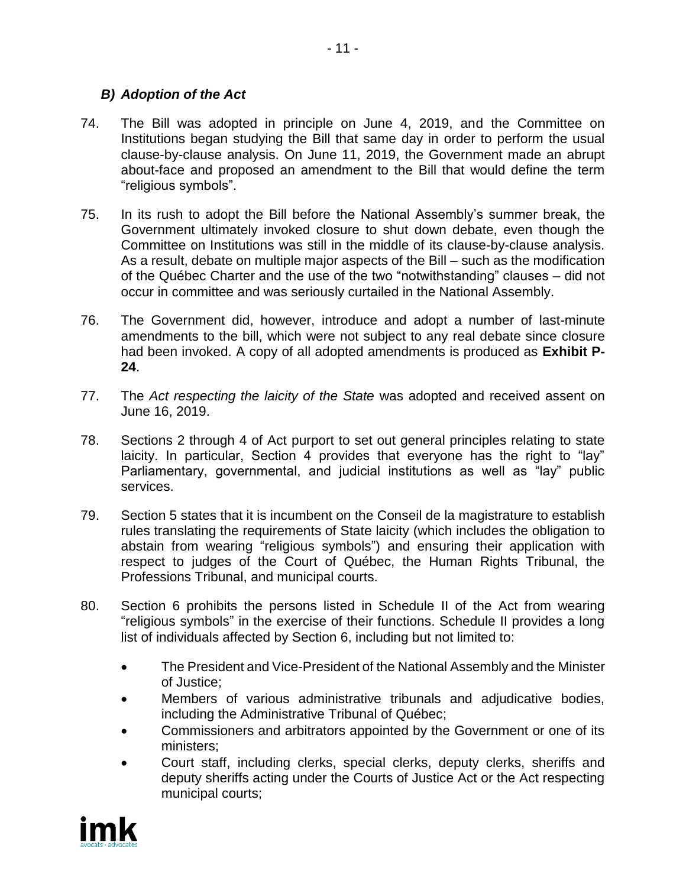## *B) Adoption of the Act*

- 74. The Bill was adopted in principle on June 4, 2019, and the Committee on Institutions began studying the Bill that same day in order to perform the usual clause-by-clause analysis. On June 11, 2019, the Government made an abrupt about-face and proposed an amendment to the Bill that would define the term "religious symbols".
- 75. In its rush to adopt the Bill before the National Assembly's summer break, the Government ultimately invoked closure to shut down debate, even though the Committee on Institutions was still in the middle of its clause-by-clause analysis. As a result, debate on multiple major aspects of the Bill – such as the modification of the Québec Charter and the use of the two "notwithstanding" clauses – did not occur in committee and was seriously curtailed in the National Assembly.
- 76. The Government did, however, introduce and adopt a number of last-minute amendments to the bill, which were not subject to any real debate since closure had been invoked. A copy of all adopted amendments is produced as **Exhibit P-24**.
- 77. The *Act respecting the laicity of the State* was adopted and received assent on June 16, 2019.
- 78. Sections 2 through 4 of Act purport to set out general principles relating to state laicity. In particular, Section 4 provides that everyone has the right to "lay" Parliamentary, governmental, and judicial institutions as well as "lay" public services.
- 79. Section 5 states that it is incumbent on the Conseil de la magistrature to establish rules translating the requirements of State laicity (which includes the obligation to abstain from wearing "religious symbols") and ensuring their application with respect to judges of the Court of Québec, the Human Rights Tribunal, the Professions Tribunal, and municipal courts.
- 80. Section 6 prohibits the persons listed in Schedule II of the Act from wearing "religious symbols" in the exercise of their functions. Schedule II provides a long list of individuals affected by Section 6, including but not limited to:
	- The President and Vice-President of the National Assembly and the Minister of Justice;
	- Members of various administrative tribunals and adjudicative bodies, including the Administrative Tribunal of Québec;
	- Commissioners and arbitrators appointed by the Government or one of its ministers;
	- Court staff, including clerks, special clerks, deputy clerks, sheriffs and deputy sheriffs acting under the Courts of Justice Act or the Act respecting municipal courts;

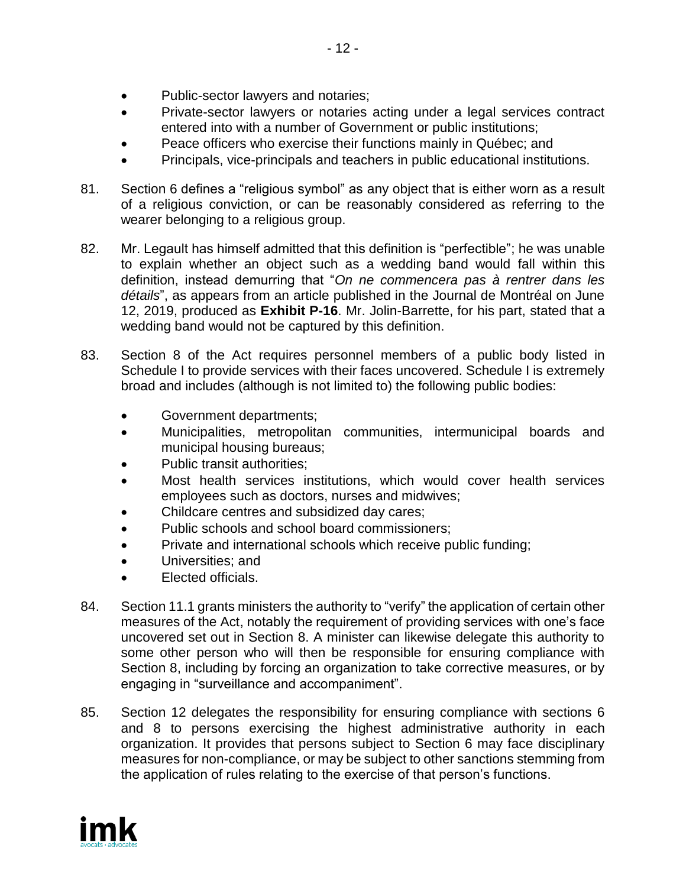- Public-sector lawyers and notaries;
- Private-sector lawyers or notaries acting under a legal services contract entered into with a number of Government or public institutions;
- Peace officers who exercise their functions mainly in Québec; and
- Principals, vice-principals and teachers in public educational institutions.
- 81. Section 6 defines a "religious symbol" as any object that is either worn as a result of a religious conviction, or can be reasonably considered as referring to the wearer belonging to a religious group.
- 82. Mr. Legault has himself admitted that this definition is "perfectible"; he was unable to explain whether an object such as a wedding band would fall within this definition, instead demurring that "*On ne commencera pas à rentrer dans les détails*", as appears from an article published in the Journal de Montréal on June 12, 2019, produced as **Exhibit P-16**. Mr. Jolin-Barrette, for his part, stated that a wedding band would not be captured by this definition.
- 83. Section 8 of the Act requires personnel members of a public body listed in Schedule I to provide services with their faces uncovered. Schedule I is extremely broad and includes (although is not limited to) the following public bodies:
	- Government departments;
	- Municipalities, metropolitan communities, intermunicipal boards and municipal housing bureaus;
	- Public transit authorities:
	- Most health services institutions, which would cover health services employees such as doctors, nurses and midwives;
	- Childcare centres and subsidized day cares;
	- Public schools and school board commissioners;
	- Private and international schools which receive public funding;
	- Universities; and
	- Elected officials.
- 84. Section 11.1 grants ministers the authority to "verify" the application of certain other measures of the Act, notably the requirement of providing services with one's face uncovered set out in Section 8. A minister can likewise delegate this authority to some other person who will then be responsible for ensuring compliance with Section 8, including by forcing an organization to take corrective measures, or by engaging in "surveillance and accompaniment".
- 85. Section 12 delegates the responsibility for ensuring compliance with sections 6 and 8 to persons exercising the highest administrative authority in each organization. It provides that persons subject to Section 6 may face disciplinary measures for non-compliance, or may be subject to other sanctions stemming from the application of rules relating to the exercise of that person's functions.

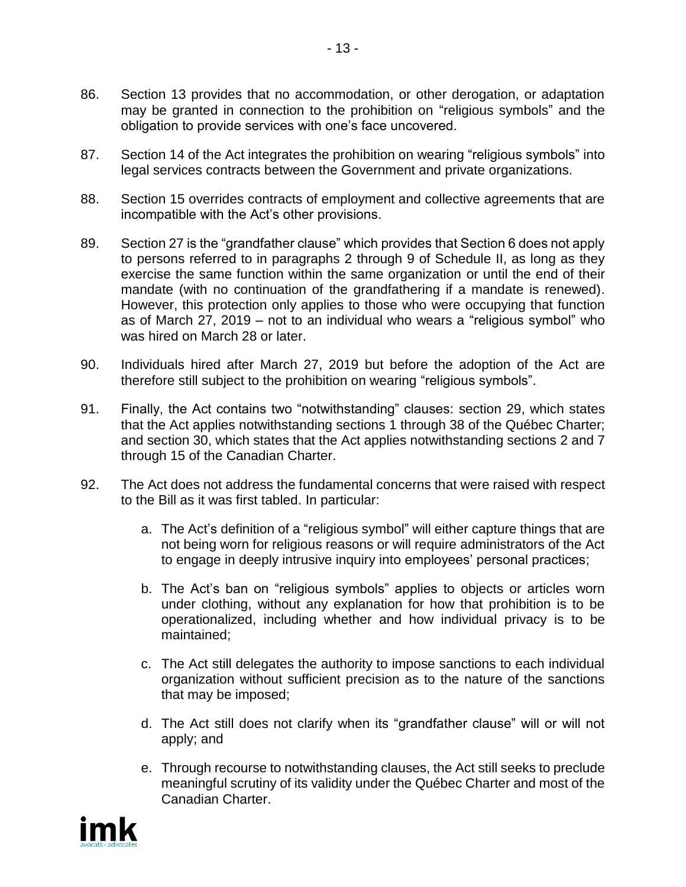- 86. Section 13 provides that no accommodation, or other derogation, or adaptation may be granted in connection to the prohibition on "religious symbols" and the obligation to provide services with one's face uncovered.
- 87. Section 14 of the Act integrates the prohibition on wearing "religious symbols" into legal services contracts between the Government and private organizations.
- 88. Section 15 overrides contracts of employment and collective agreements that are incompatible with the Act's other provisions.
- 89. Section 27 is the "grandfather clause" which provides that Section 6 does not apply to persons referred to in paragraphs 2 through 9 of Schedule II, as long as they exercise the same function within the same organization or until the end of their mandate (with no continuation of the grandfathering if a mandate is renewed). However, this protection only applies to those who were occupying that function as of March 27, 2019 – not to an individual who wears a "religious symbol" who was hired on March 28 or later.
- 90. Individuals hired after March 27, 2019 but before the adoption of the Act are therefore still subject to the prohibition on wearing "religious symbols".
- 91. Finally, the Act contains two "notwithstanding" clauses: section 29, which states that the Act applies notwithstanding sections 1 through 38 of the Québec Charter; and section 30, which states that the Act applies notwithstanding sections 2 and 7 through 15 of the Canadian Charter.
- 92. The Act does not address the fundamental concerns that were raised with respect to the Bill as it was first tabled. In particular:
	- a. The Act's definition of a "religious symbol" will either capture things that are not being worn for religious reasons or will require administrators of the Act to engage in deeply intrusive inquiry into employees' personal practices;
	- b. The Act's ban on "religious symbols" applies to objects or articles worn under clothing, without any explanation for how that prohibition is to be operationalized, including whether and how individual privacy is to be maintained;
	- c. The Act still delegates the authority to impose sanctions to each individual organization without sufficient precision as to the nature of the sanctions that may be imposed;
	- d. The Act still does not clarify when its "grandfather clause" will or will not apply; and
	- e. Through recourse to notwithstanding clauses, the Act still seeks to preclude meaningful scrutiny of its validity under the Québec Charter and most of the Canadian Charter.

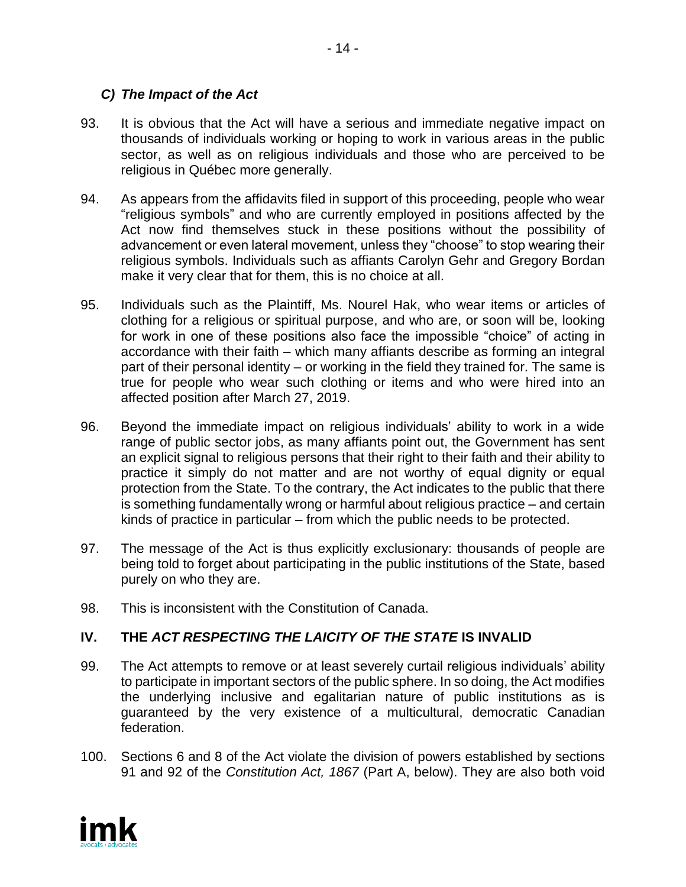## *C) The Impact of the Act*

- 93. It is obvious that the Act will have a serious and immediate negative impact on thousands of individuals working or hoping to work in various areas in the public sector, as well as on religious individuals and those who are perceived to be religious in Québec more generally.
- 94. As appears from the affidavits filed in support of this proceeding, people who wear "religious symbols" and who are currently employed in positions affected by the Act now find themselves stuck in these positions without the possibility of advancement or even lateral movement, unless they "choose" to stop wearing their religious symbols. Individuals such as affiants Carolyn Gehr and Gregory Bordan make it very clear that for them, this is no choice at all.
- 95. Individuals such as the Plaintiff, Ms. Nourel Hak, who wear items or articles of clothing for a religious or spiritual purpose, and who are, or soon will be, looking for work in one of these positions also face the impossible "choice" of acting in accordance with their faith – which many affiants describe as forming an integral part of their personal identity – or working in the field they trained for. The same is true for people who wear such clothing or items and who were hired into an affected position after March 27, 2019.
- 96. Beyond the immediate impact on religious individuals' ability to work in a wide range of public sector jobs, as many affiants point out, the Government has sent an explicit signal to religious persons that their right to their faith and their ability to practice it simply do not matter and are not worthy of equal dignity or equal protection from the State. To the contrary, the Act indicates to the public that there is something fundamentally wrong or harmful about religious practice – and certain kinds of practice in particular – from which the public needs to be protected.
- 97. The message of the Act is thus explicitly exclusionary: thousands of people are being told to forget about participating in the public institutions of the State, based purely on who they are.
- 98. This is inconsistent with the Constitution of Canada.

## **IV. THE** *ACT RESPECTING THE LAICITY OF THE STATE* **IS INVALID**

- 99. The Act attempts to remove or at least severely curtail religious individuals' ability to participate in important sectors of the public sphere. In so doing, the Act modifies the underlying inclusive and egalitarian nature of public institutions as is guaranteed by the very existence of a multicultural, democratic Canadian federation.
- 100. Sections 6 and 8 of the Act violate the division of powers established by sections 91 and 92 of the *Constitution Act, 1867* (Part A, below). They are also both void

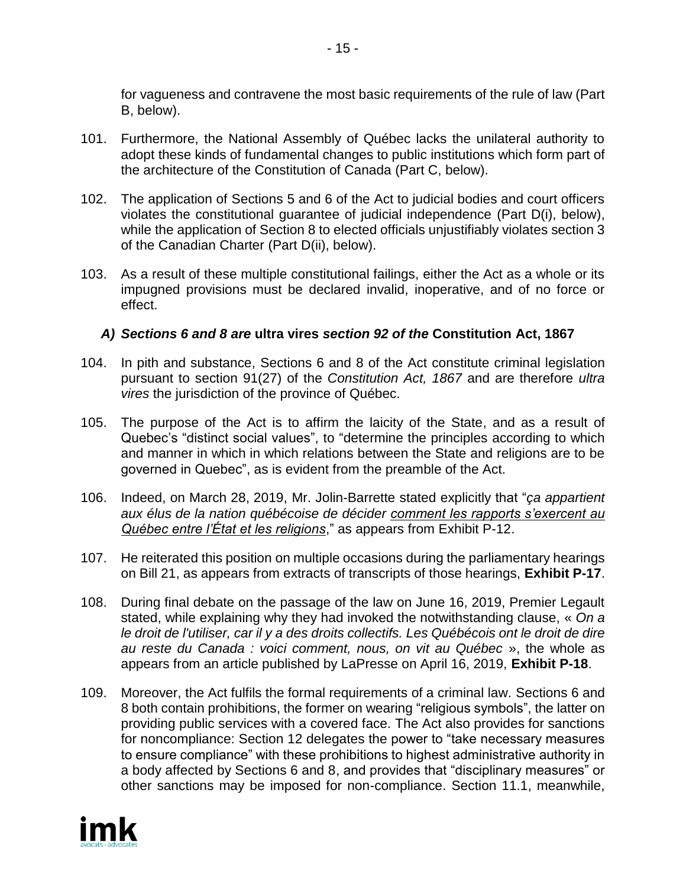for vagueness and contravene the most basic requirements of the rule of law (Part B, below).

- 101. Furthermore, the National Assembly of Québec lacks the unilateral authority to adopt these kinds of fundamental changes to public institutions which form part of the architecture of the Constitution of Canada (Part C, below).
- 102. The application of Sections 5 and 6 of the Act to judicial bodies and court officers violates the constitutional guarantee of judicial independence (Part D(i), below), while the application of Section 8 to elected officials unjustifiably violates section 3 of the Canadian Charter (Part D(ii), below).
- 103. As a result of these multiple constitutional failings, either the Act as a whole or its impugned provisions must be declared invalid, inoperative, and of no force or effect.

## *A) Sections 6 and 8 are* **ultra vires** *section 92 of the* **Constitution Act, 1867**

- 104. In pith and substance, Sections 6 and 8 of the Act constitute criminal legislation pursuant to section 91(27) of the *Constitution Act, 1867* and are therefore *ultra vires* the jurisdiction of the province of Québec.
- 105. The purpose of the Act is to affirm the laicity of the State, and as a result of Quebec's "distinct social values", to "determine the principles according to which and manner in which in which relations between the State and religions are to be governed in Quebec", as is evident from the preamble of the Act.
- 106. Indeed, on March 28, 2019, Mr. Jolin-Barrette stated explicitly that "*ça appartient aux élus de la nation québécoise de décider comment les rapports s'exercent au Québec entre l'État et les religions*," as appears from Exhibit P-12.
- 107. He reiterated this position on multiple occasions during the parliamentary hearings on Bill 21, as appears from extracts of transcripts of those hearings, **Exhibit P-17**.
- 108. During final debate on the passage of the law on June 16, 2019, Premier Legault stated, while explaining why they had invoked the notwithstanding clause, « *On a le droit de l'utiliser, car il y a des droits collectifs. Les Québécois ont le droit de dire au reste du Canada : voici comment, nous, on vit au Québec* », the whole as appears from an article published by LaPresse on April 16, 2019, **Exhibit P-18**.
- 109. Moreover, the Act fulfils the formal requirements of a criminal law. Sections 6 and 8 both contain prohibitions, the former on wearing "religious symbols", the latter on providing public services with a covered face. The Act also provides for sanctions for noncompliance: Section 12 delegates the power to "take necessary measures to ensure compliance" with these prohibitions to highest administrative authority in a body affected by Sections 6 and 8, and provides that "disciplinary measures" or other sanctions may be imposed for non-compliance. Section 11.1, meanwhile,

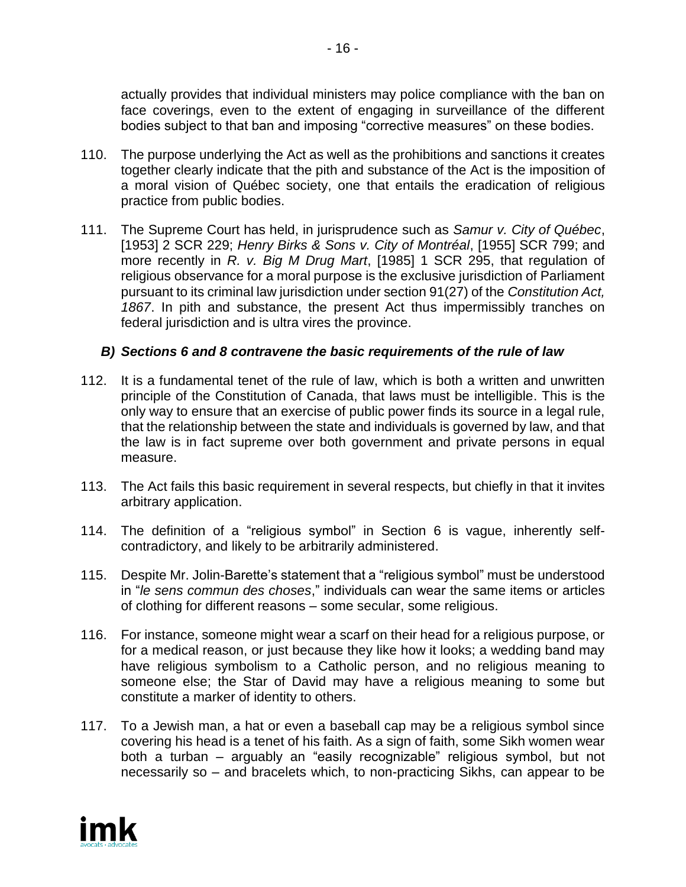actually provides that individual ministers may police compliance with the ban on face coverings, even to the extent of engaging in surveillance of the different bodies subject to that ban and imposing "corrective measures" on these bodies.

- 110. The purpose underlying the Act as well as the prohibitions and sanctions it creates together clearly indicate that the pith and substance of the Act is the imposition of a moral vision of Québec society, one that entails the eradication of religious practice from public bodies.
- 111. The Supreme Court has held, in jurisprudence such as *Samur v. City of Québec*, [1953] 2 SCR 229; *Henry Birks & Sons v. City of Montréal*, [1955] SCR 799; and more recently in *R. v. Big M Drug Mart*, [1985] 1 SCR 295, that regulation of religious observance for a moral purpose is the exclusive jurisdiction of Parliament pursuant to its criminal law jurisdiction under section 91(27) of the *Constitution Act, 1867*. In pith and substance, the present Act thus impermissibly tranches on federal jurisdiction and is ultra vires the province.

## *B) Sections 6 and 8 contravene the basic requirements of the rule of law*

- 112. It is a fundamental tenet of the rule of law, which is both a written and unwritten principle of the Constitution of Canada, that laws must be intelligible. This is the only way to ensure that an exercise of public power finds its source in a legal rule, that the relationship between the state and individuals is governed by law, and that the law is in fact supreme over both government and private persons in equal measure.
- 113. The Act fails this basic requirement in several respects, but chiefly in that it invites arbitrary application.
- 114. The definition of a "religious symbol" in Section 6 is vague, inherently selfcontradictory, and likely to be arbitrarily administered.
- 115. Despite Mr. Jolin-Barette's statement that a "religious symbol" must be understood in "*le sens commun des choses*," individuals can wear the same items or articles of clothing for different reasons – some secular, some religious.
- 116. For instance, someone might wear a scarf on their head for a religious purpose, or for a medical reason, or just because they like how it looks; a wedding band may have religious symbolism to a Catholic person, and no religious meaning to someone else; the Star of David may have a religious meaning to some but constitute a marker of identity to others.
- 117. To a Jewish man, a hat or even a baseball cap may be a religious symbol since covering his head is a tenet of his faith. As a sign of faith, some Sikh women wear both a turban – arguably an "easily recognizable" religious symbol, but not necessarily so – and bracelets which, to non-practicing Sikhs, can appear to be

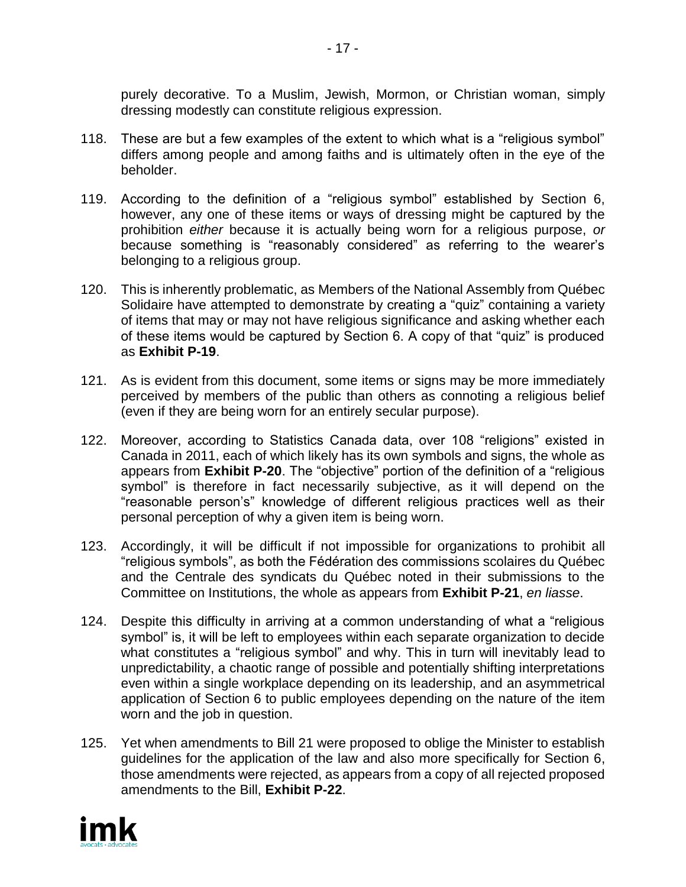purely decorative. To a Muslim, Jewish, Mormon, or Christian woman, simply dressing modestly can constitute religious expression.

- 118. These are but a few examples of the extent to which what is a "religious symbol" differs among people and among faiths and is ultimately often in the eye of the beholder.
- 119. According to the definition of a "religious symbol" established by Section 6, however, any one of these items or ways of dressing might be captured by the prohibition *either* because it is actually being worn for a religious purpose, *or* because something is "reasonably considered" as referring to the wearer's belonging to a religious group.
- 120. This is inherently problematic, as Members of the National Assembly from Québec Solidaire have attempted to demonstrate by creating a "quiz" containing a variety of items that may or may not have religious significance and asking whether each of these items would be captured by Section 6. A copy of that "quiz" is produced as **Exhibit P-19**.
- 121. As is evident from this document, some items or signs may be more immediately perceived by members of the public than others as connoting a religious belief (even if they are being worn for an entirely secular purpose).
- 122. Moreover, according to Statistics Canada data, over 108 "religions" existed in Canada in 2011, each of which likely has its own symbols and signs, the whole as appears from **Exhibit P-20**. The "objective" portion of the definition of a "religious symbol" is therefore in fact necessarily subjective, as it will depend on the "reasonable person's" knowledge of different religious practices well as their personal perception of why a given item is being worn.
- 123. Accordingly, it will be difficult if not impossible for organizations to prohibit all "religious symbols", as both the Fédération des commissions scolaires du Québec and the Centrale des syndicats du Québec noted in their submissions to the Committee on Institutions, the whole as appears from **Exhibit P-21**, *en liasse*.
- 124. Despite this difficulty in arriving at a common understanding of what a "religious symbol" is, it will be left to employees within each separate organization to decide what constitutes a "religious symbol" and why. This in turn will inevitably lead to unpredictability, a chaotic range of possible and potentially shifting interpretations even within a single workplace depending on its leadership, and an asymmetrical application of Section 6 to public employees depending on the nature of the item worn and the job in question.
- 125. Yet when amendments to Bill 21 were proposed to oblige the Minister to establish guidelines for the application of the law and also more specifically for Section 6, those amendments were rejected, as appears from a copy of all rejected proposed amendments to the Bill, **Exhibit P-22**.

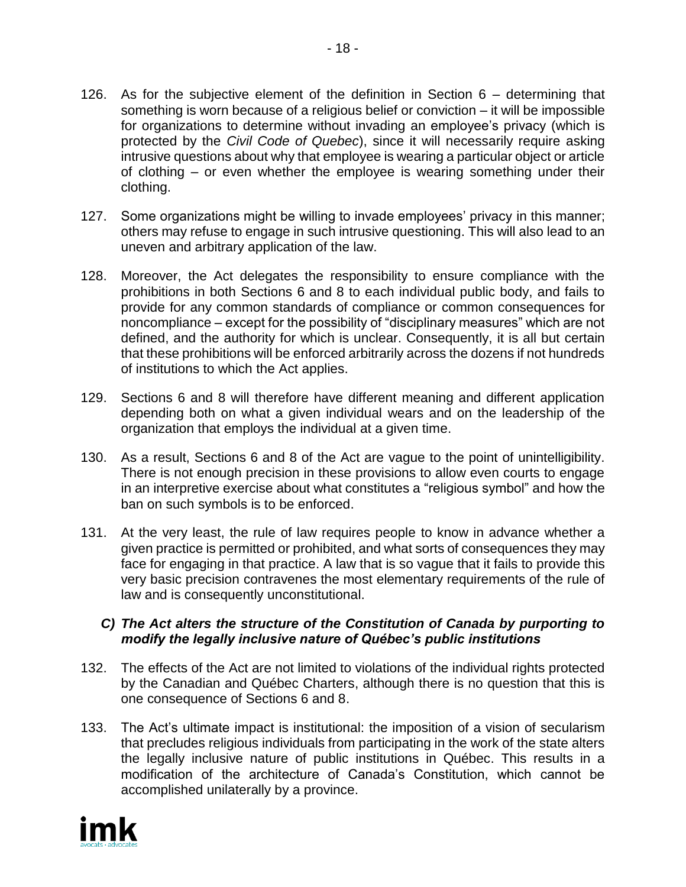- 126. As for the subjective element of the definition in Section 6 determining that something is worn because of a religious belief or conviction – it will be impossible for organizations to determine without invading an employee's privacy (which is protected by the *Civil Code of Quebec*), since it will necessarily require asking intrusive questions about why that employee is wearing a particular object or article of clothing – or even whether the employee is wearing something under their clothing.
- 127. Some organizations might be willing to invade employees' privacy in this manner; others may refuse to engage in such intrusive questioning. This will also lead to an uneven and arbitrary application of the law.
- 128. Moreover, the Act delegates the responsibility to ensure compliance with the prohibitions in both Sections 6 and 8 to each individual public body, and fails to provide for any common standards of compliance or common consequences for noncompliance – except for the possibility of "disciplinary measures" which are not defined, and the authority for which is unclear. Consequently, it is all but certain that these prohibitions will be enforced arbitrarily across the dozens if not hundreds of institutions to which the Act applies.
- 129. Sections 6 and 8 will therefore have different meaning and different application depending both on what a given individual wears and on the leadership of the organization that employs the individual at a given time.
- 130. As a result, Sections 6 and 8 of the Act are vague to the point of unintelligibility. There is not enough precision in these provisions to allow even courts to engage in an interpretive exercise about what constitutes a "religious symbol" and how the ban on such symbols is to be enforced.
- 131. At the very least, the rule of law requires people to know in advance whether a given practice is permitted or prohibited, and what sorts of consequences they may face for engaging in that practice. A law that is so vague that it fails to provide this very basic precision contravenes the most elementary requirements of the rule of law and is consequently unconstitutional.

## *C) The Act alters the structure of the Constitution of Canada by purporting to modify the legally inclusive nature of Québec's public institutions*

- 132. The effects of the Act are not limited to violations of the individual rights protected by the Canadian and Québec Charters, although there is no question that this is one consequence of Sections 6 and 8.
- 133. The Act's ultimate impact is institutional: the imposition of a vision of secularism that precludes religious individuals from participating in the work of the state alters the legally inclusive nature of public institutions in Québec. This results in a modification of the architecture of Canada's Constitution, which cannot be accomplished unilaterally by a province.

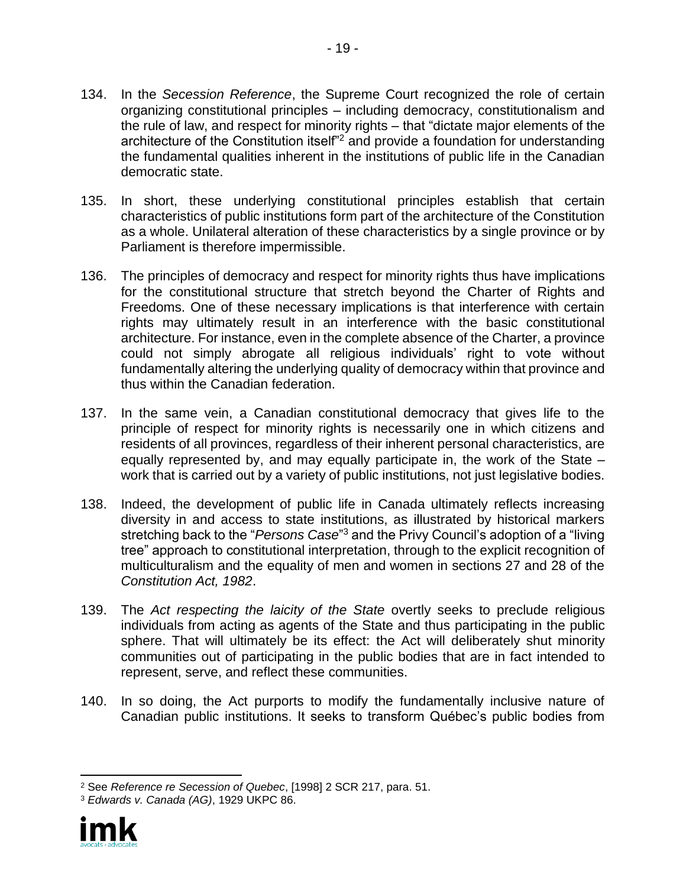- 134. In the *Secession Reference*, the Supreme Court recognized the role of certain organizing constitutional principles – including democracy, constitutionalism and the rule of law, and respect for minority rights – that "dictate major elements of the architecture of the Constitution itself<sup>"2</sup> and provide a foundation for understanding the fundamental qualities inherent in the institutions of public life in the Canadian democratic state.
- 135. In short, these underlying constitutional principles establish that certain characteristics of public institutions form part of the architecture of the Constitution as a whole. Unilateral alteration of these characteristics by a single province or by Parliament is therefore impermissible.
- 136. The principles of democracy and respect for minority rights thus have implications for the constitutional structure that stretch beyond the Charter of Rights and Freedoms. One of these necessary implications is that interference with certain rights may ultimately result in an interference with the basic constitutional architecture. For instance, even in the complete absence of the Charter, a province could not simply abrogate all religious individuals' right to vote without fundamentally altering the underlying quality of democracy within that province and thus within the Canadian federation.
- 137. In the same vein, a Canadian constitutional democracy that gives life to the principle of respect for minority rights is necessarily one in which citizens and residents of all provinces, regardless of their inherent personal characteristics, are equally represented by, and may equally participate in, the work of the State – work that is carried out by a variety of public institutions, not just legislative bodies.
- 138. Indeed, the development of public life in Canada ultimately reflects increasing diversity in and access to state institutions, as illustrated by historical markers stretching back to the "*Persons Case*"<sup>3</sup> and the Privy Council's adoption of a "living tree" approach to constitutional interpretation, through to the explicit recognition of multiculturalism and the equality of men and women in sections 27 and 28 of the *Constitution Act, 1982*.
- 139. The *Act respecting the laicity of the State* overtly seeks to preclude religious individuals from acting as agents of the State and thus participating in the public sphere. That will ultimately be its effect: the Act will deliberately shut minority communities out of participating in the public bodies that are in fact intended to represent, serve, and reflect these communities.
- 140. In so doing, the Act purports to modify the fundamentally inclusive nature of Canadian public institutions. It seeks to transform Québec's public bodies from

<sup>3</sup> *Edwards v. Canada (AG)*, 1929 UKPC 86.



<sup>2</sup> See *Reference re Secession of Quebec*, [1998] 2 SCR 217, para. 51.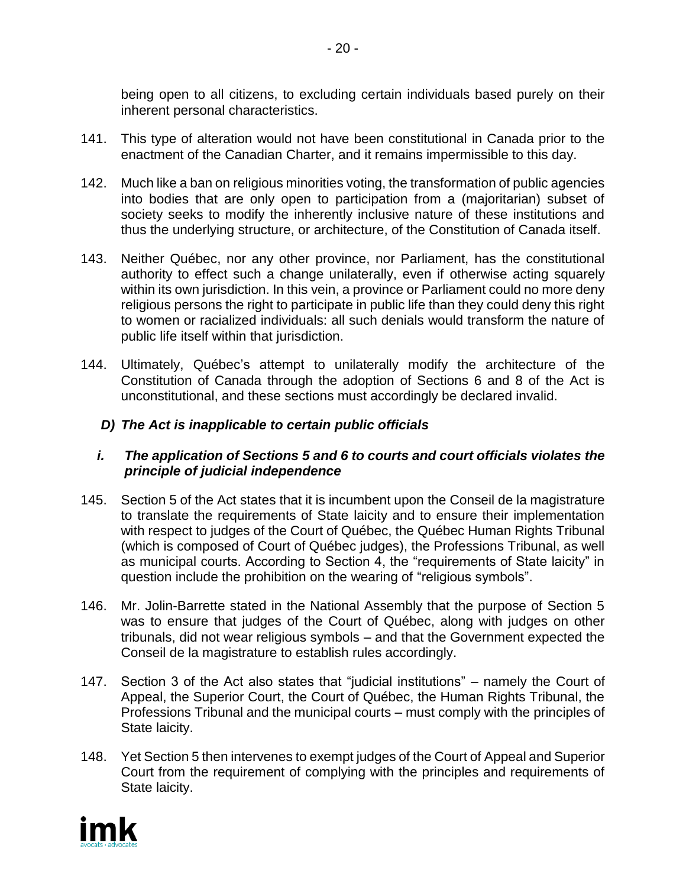being open to all citizens, to excluding certain individuals based purely on their inherent personal characteristics.

- 141. This type of alteration would not have been constitutional in Canada prior to the enactment of the Canadian Charter, and it remains impermissible to this day.
- 142. Much like a ban on religious minorities voting, the transformation of public agencies into bodies that are only open to participation from a (majoritarian) subset of society seeks to modify the inherently inclusive nature of these institutions and thus the underlying structure, or architecture, of the Constitution of Canada itself.
- 143. Neither Québec, nor any other province, nor Parliament, has the constitutional authority to effect such a change unilaterally, even if otherwise acting squarely within its own jurisdiction. In this vein, a province or Parliament could no more deny religious persons the right to participate in public life than they could deny this right to women or racialized individuals: all such denials would transform the nature of public life itself within that jurisdiction.
- 144. Ultimately, Québec's attempt to unilaterally modify the architecture of the Constitution of Canada through the adoption of Sections 6 and 8 of the Act is unconstitutional, and these sections must accordingly be declared invalid.

## *D) The Act is inapplicable to certain public officials*

## *i. The application of Sections 5 and 6 to courts and court officials violates the principle of judicial independence*

- 145. Section 5 of the Act states that it is incumbent upon the Conseil de la magistrature to translate the requirements of State laicity and to ensure their implementation with respect to judges of the Court of Québec, the Québec Human Rights Tribunal (which is composed of Court of Québec judges), the Professions Tribunal, as well as municipal courts. According to Section 4, the "requirements of State laicity" in question include the prohibition on the wearing of "religious symbols".
- 146. Mr. Jolin-Barrette stated in the National Assembly that the purpose of Section 5 was to ensure that judges of the Court of Québec, along with judges on other tribunals, did not wear religious symbols – and that the Government expected the Conseil de la magistrature to establish rules accordingly.
- 147. Section 3 of the Act also states that "judicial institutions" namely the Court of Appeal, the Superior Court, the Court of Québec, the Human Rights Tribunal, the Professions Tribunal and the municipal courts – must comply with the principles of State laicity.
- 148. Yet Section 5 then intervenes to exempt judges of the Court of Appeal and Superior Court from the requirement of complying with the principles and requirements of State laicity.

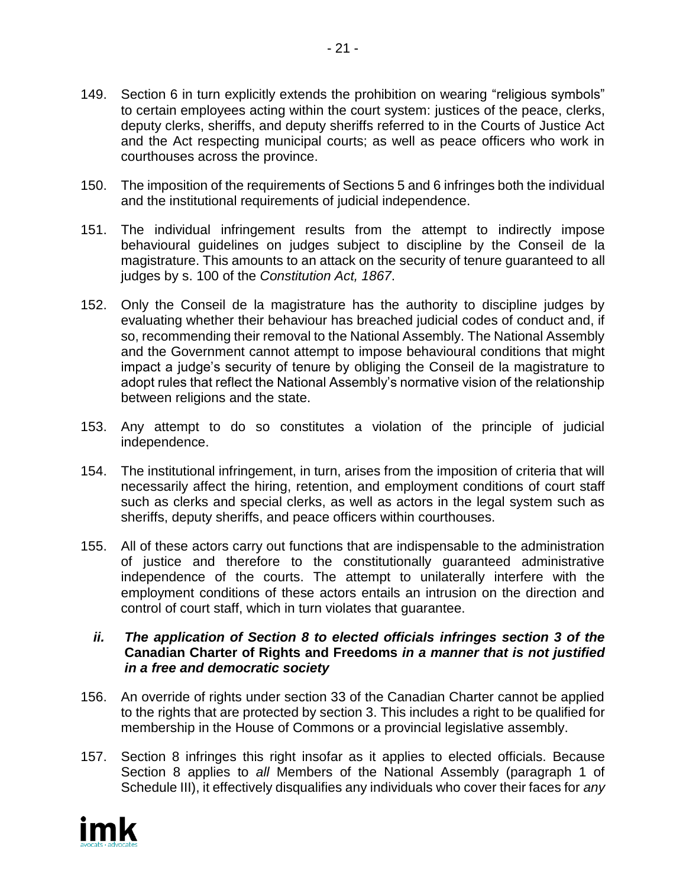- 149. Section 6 in turn explicitly extends the prohibition on wearing "religious symbols" to certain employees acting within the court system: justices of the peace, clerks, deputy clerks, sheriffs, and deputy sheriffs referred to in the Courts of Justice Act and the Act respecting municipal courts; as well as peace officers who work in courthouses across the province.
- 150. The imposition of the requirements of Sections 5 and 6 infringes both the individual and the institutional requirements of judicial independence.
- 151. The individual infringement results from the attempt to indirectly impose behavioural guidelines on judges subject to discipline by the Conseil de la magistrature. This amounts to an attack on the security of tenure guaranteed to all judges by s. 100 of the *Constitution Act, 1867*.
- 152. Only the Conseil de la magistrature has the authority to discipline judges by evaluating whether their behaviour has breached judicial codes of conduct and, if so, recommending their removal to the National Assembly. The National Assembly and the Government cannot attempt to impose behavioural conditions that might impact a judge's security of tenure by obliging the Conseil de la magistrature to adopt rules that reflect the National Assembly's normative vision of the relationship between religions and the state.
- 153. Any attempt to do so constitutes a violation of the principle of judicial independence.
- 154. The institutional infringement, in turn, arises from the imposition of criteria that will necessarily affect the hiring, retention, and employment conditions of court staff such as clerks and special clerks, as well as actors in the legal system such as sheriffs, deputy sheriffs, and peace officers within courthouses.
- 155. All of these actors carry out functions that are indispensable to the administration of justice and therefore to the constitutionally guaranteed administrative independence of the courts. The attempt to unilaterally interfere with the employment conditions of these actors entails an intrusion on the direction and control of court staff, which in turn violates that guarantee.
	- *ii. The application of Section 8 to elected officials infringes section 3 of the*  **Canadian Charter of Rights and Freedoms** *in a manner that is not justified in a free and democratic society*
- 156. An override of rights under section 33 of the Canadian Charter cannot be applied to the rights that are protected by section 3. This includes a right to be qualified for membership in the House of Commons or a provincial legislative assembly.
- 157. Section 8 infringes this right insofar as it applies to elected officials. Because Section 8 applies to *all* Members of the National Assembly (paragraph 1 of Schedule III), it effectively disqualifies any individuals who cover their faces for *any*

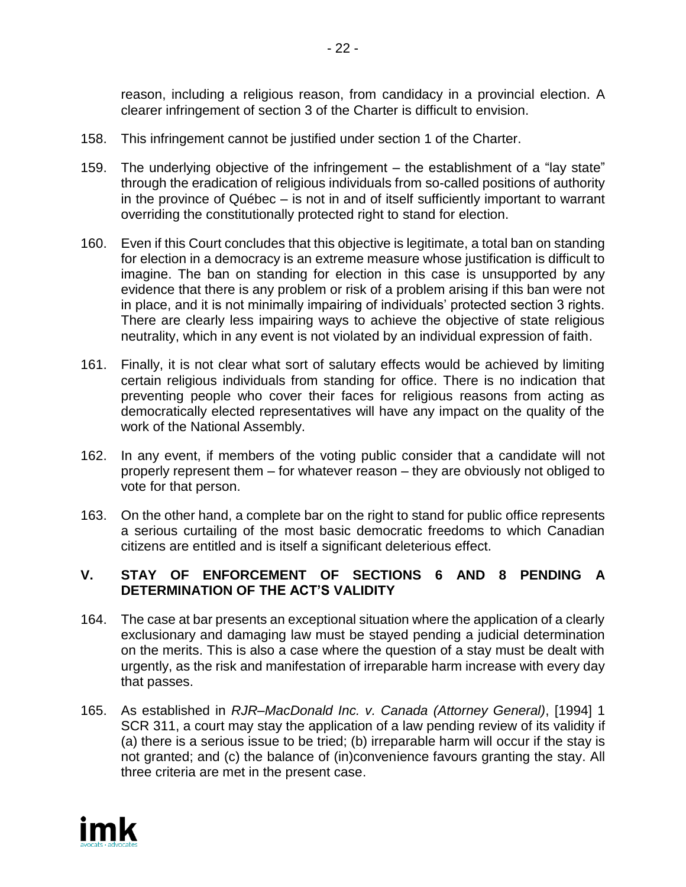reason, including a religious reason, from candidacy in a provincial election. A clearer infringement of section 3 of the Charter is difficult to envision.

- 158. This infringement cannot be justified under section 1 of the Charter.
- 159. The underlying objective of the infringement the establishment of a "lay state" through the eradication of religious individuals from so-called positions of authority in the province of Québec – is not in and of itself sufficiently important to warrant overriding the constitutionally protected right to stand for election.
- 160. Even if this Court concludes that this objective is legitimate, a total ban on standing for election in a democracy is an extreme measure whose justification is difficult to imagine. The ban on standing for election in this case is unsupported by any evidence that there is any problem or risk of a problem arising if this ban were not in place, and it is not minimally impairing of individuals' protected section 3 rights. There are clearly less impairing ways to achieve the objective of state religious neutrality, which in any event is not violated by an individual expression of faith.
- 161. Finally, it is not clear what sort of salutary effects would be achieved by limiting certain religious individuals from standing for office. There is no indication that preventing people who cover their faces for religious reasons from acting as democratically elected representatives will have any impact on the quality of the work of the National Assembly.
- 162. In any event, if members of the voting public consider that a candidate will not properly represent them – for whatever reason – they are obviously not obliged to vote for that person.
- 163. On the other hand, a complete bar on the right to stand for public office represents a serious curtailing of the most basic democratic freedoms to which Canadian citizens are entitled and is itself a significant deleterious effect.

# **V. STAY OF ENFORCEMENT OF SECTIONS 6 AND 8 PENDING A DETERMINATION OF THE ACT'S VALIDITY**

- 164. The case at bar presents an exceptional situation where the application of a clearly exclusionary and damaging law must be stayed pending a judicial determination on the merits. This is also a case where the question of a stay must be dealt with urgently, as the risk and manifestation of irreparable harm increase with every day that passes.
- 165. As established in *RJR–MacDonald Inc. v. Canada (Attorney General)*, [1994] 1 SCR 311, a court may stay the application of a law pending review of its validity if (a) there is a serious issue to be tried; (b) irreparable harm will occur if the stay is not granted; and (c) the balance of (in)convenience favours granting the stay. All three criteria are met in the present case.

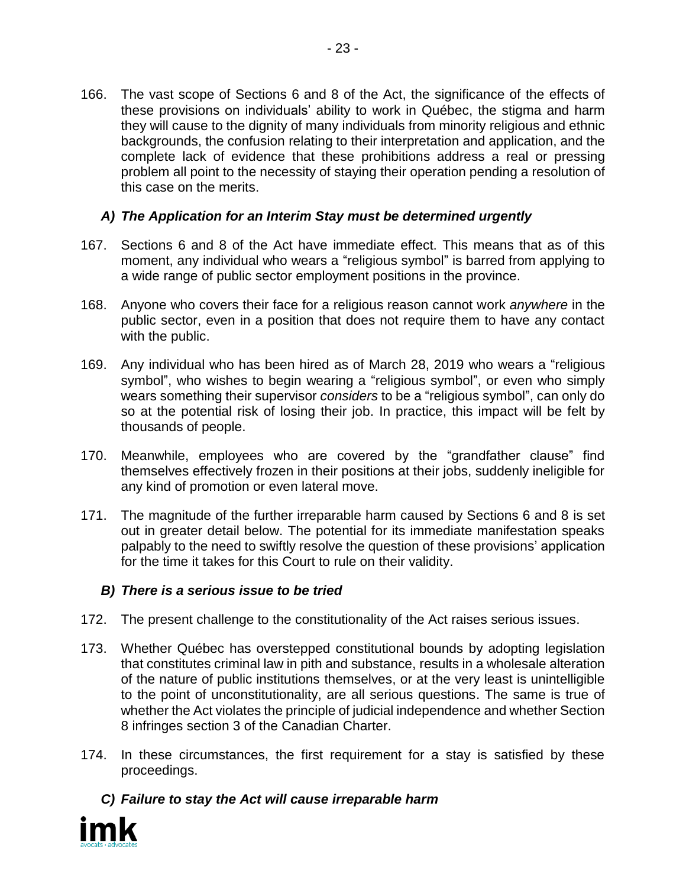166. The vast scope of Sections 6 and 8 of the Act, the significance of the effects of these provisions on individuals' ability to work in Québec, the stigma and harm they will cause to the dignity of many individuals from minority religious and ethnic backgrounds, the confusion relating to their interpretation and application, and the complete lack of evidence that these prohibitions address a real or pressing problem all point to the necessity of staying their operation pending a resolution of this case on the merits.

# *A) The Application for an Interim Stay must be determined urgently*

- 167. Sections 6 and 8 of the Act have immediate effect. This means that as of this moment, any individual who wears a "religious symbol" is barred from applying to a wide range of public sector employment positions in the province.
- 168. Anyone who covers their face for a religious reason cannot work *anywhere* in the public sector, even in a position that does not require them to have any contact with the public.
- 169. Any individual who has been hired as of March 28, 2019 who wears a "religious symbol", who wishes to begin wearing a "religious symbol", or even who simply wears something their supervisor *considers* to be a "religious symbol", can only do so at the potential risk of losing their job. In practice, this impact will be felt by thousands of people.
- 170. Meanwhile, employees who are covered by the "grandfather clause" find themselves effectively frozen in their positions at their jobs, suddenly ineligible for any kind of promotion or even lateral move.
- 171. The magnitude of the further irreparable harm caused by Sections 6 and 8 is set out in greater detail below. The potential for its immediate manifestation speaks palpably to the need to swiftly resolve the question of these provisions' application for the time it takes for this Court to rule on their validity.

## *B) There is a serious issue to be tried*

- 172. The present challenge to the constitutionality of the Act raises serious issues.
- 173. Whether Québec has overstepped constitutional bounds by adopting legislation that constitutes criminal law in pith and substance, results in a wholesale alteration of the nature of public institutions themselves, or at the very least is unintelligible to the point of unconstitutionality, are all serious questions. The same is true of whether the Act violates the principle of judicial independence and whether Section 8 infringes section 3 of the Canadian Charter.
- 174. In these circumstances, the first requirement for a stay is satisfied by these proceedings.

*C) Failure to stay the Act will cause irreparable harm*

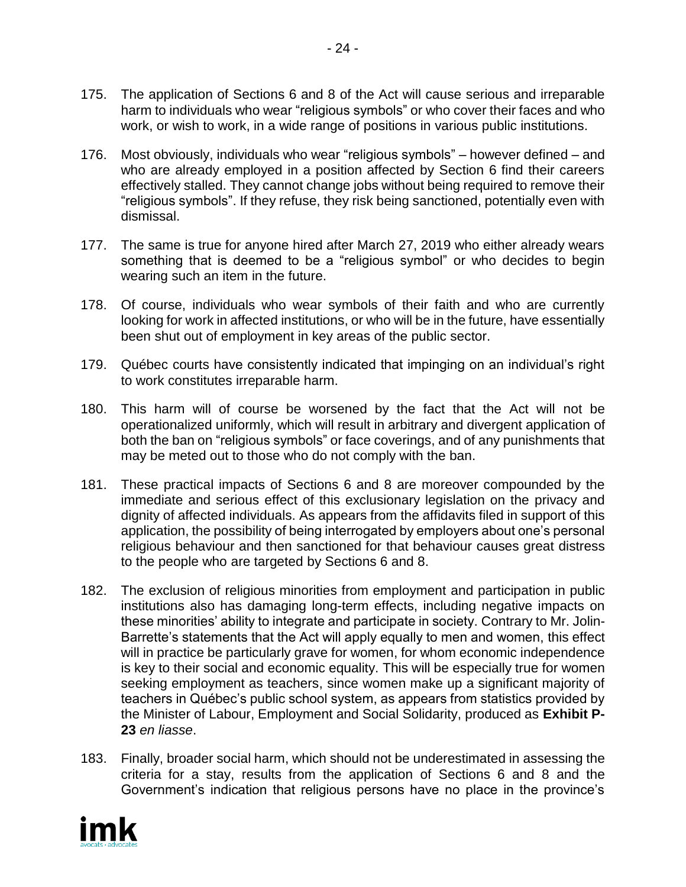- 175. The application of Sections 6 and 8 of the Act will cause serious and irreparable harm to individuals who wear "religious symbols" or who cover their faces and who work, or wish to work, in a wide range of positions in various public institutions.
- 176. Most obviously, individuals who wear "religious symbols" however defined and who are already employed in a position affected by Section 6 find their careers effectively stalled. They cannot change jobs without being required to remove their "religious symbols". If they refuse, they risk being sanctioned, potentially even with dismissal.
- 177. The same is true for anyone hired after March 27, 2019 who either already wears something that is deemed to be a "religious symbol" or who decides to begin wearing such an item in the future.
- 178. Of course, individuals who wear symbols of their faith and who are currently looking for work in affected institutions, or who will be in the future, have essentially been shut out of employment in key areas of the public sector.
- 179. Québec courts have consistently indicated that impinging on an individual's right to work constitutes irreparable harm.
- 180. This harm will of course be worsened by the fact that the Act will not be operationalized uniformly, which will result in arbitrary and divergent application of both the ban on "religious symbols" or face coverings, and of any punishments that may be meted out to those who do not comply with the ban.
- 181. These practical impacts of Sections 6 and 8 are moreover compounded by the immediate and serious effect of this exclusionary legislation on the privacy and dignity of affected individuals. As appears from the affidavits filed in support of this application, the possibility of being interrogated by employers about one's personal religious behaviour and then sanctioned for that behaviour causes great distress to the people who are targeted by Sections 6 and 8.
- 182. The exclusion of religious minorities from employment and participation in public institutions also has damaging long-term effects, including negative impacts on these minorities' ability to integrate and participate in society. Contrary to Mr. Jolin-Barrette's statements that the Act will apply equally to men and women, this effect will in practice be particularly grave for women, for whom economic independence is key to their social and economic equality. This will be especially true for women seeking employment as teachers, since women make up a significant majority of teachers in Québec's public school system, as appears from statistics provided by the Minister of Labour, Employment and Social Solidarity, produced as **Exhibit P-23** *en liasse*.
- 183. Finally, broader social harm, which should not be underestimated in assessing the criteria for a stay, results from the application of Sections 6 and 8 and the Government's indication that religious persons have no place in the province's

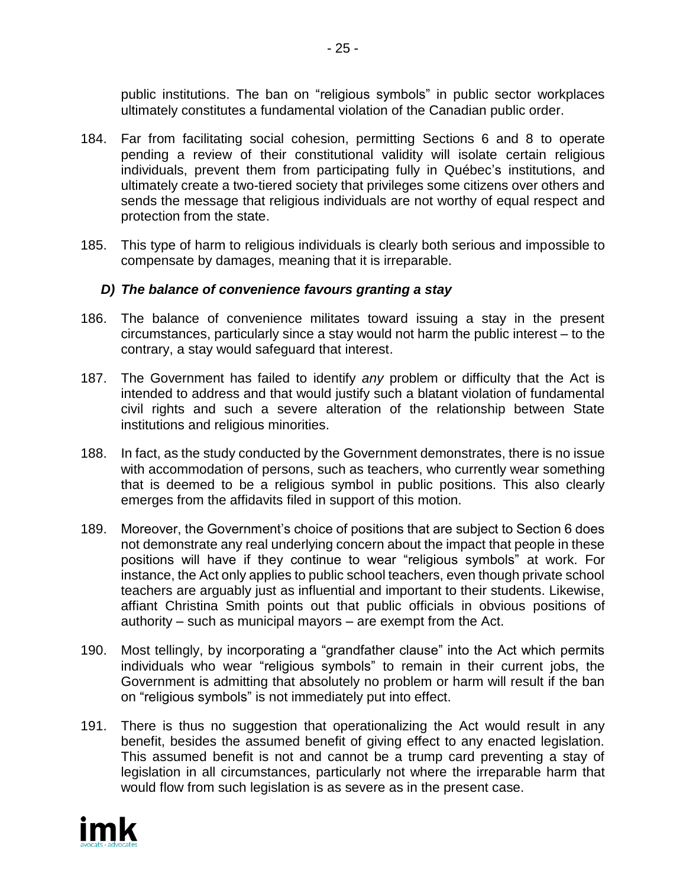public institutions. The ban on "religious symbols" in public sector workplaces ultimately constitutes a fundamental violation of the Canadian public order.

- 184. Far from facilitating social cohesion, permitting Sections 6 and 8 to operate pending a review of their constitutional validity will isolate certain religious individuals, prevent them from participating fully in Québec's institutions, and ultimately create a two-tiered society that privileges some citizens over others and sends the message that religious individuals are not worthy of equal respect and protection from the state.
- 185. This type of harm to religious individuals is clearly both serious and impossible to compensate by damages, meaning that it is irreparable.

## *D) The balance of convenience favours granting a stay*

- 186. The balance of convenience militates toward issuing a stay in the present circumstances, particularly since a stay would not harm the public interest – to the contrary, a stay would safeguard that interest.
- 187. The Government has failed to identify *any* problem or difficulty that the Act is intended to address and that would justify such a blatant violation of fundamental civil rights and such a severe alteration of the relationship between State institutions and religious minorities.
- 188. In fact, as the study conducted by the Government demonstrates, there is no issue with accommodation of persons, such as teachers, who currently wear something that is deemed to be a religious symbol in public positions. This also clearly emerges from the affidavits filed in support of this motion.
- 189. Moreover, the Government's choice of positions that are subject to Section 6 does not demonstrate any real underlying concern about the impact that people in these positions will have if they continue to wear "religious symbols" at work. For instance, the Act only applies to public school teachers, even though private school teachers are arguably just as influential and important to their students. Likewise, affiant Christina Smith points out that public officials in obvious positions of authority – such as municipal mayors – are exempt from the Act.
- 190. Most tellingly, by incorporating a "grandfather clause" into the Act which permits individuals who wear "religious symbols" to remain in their current jobs, the Government is admitting that absolutely no problem or harm will result if the ban on "religious symbols" is not immediately put into effect.
- 191. There is thus no suggestion that operationalizing the Act would result in any benefit, besides the assumed benefit of giving effect to any enacted legislation. This assumed benefit is not and cannot be a trump card preventing a stay of legislation in all circumstances, particularly not where the irreparable harm that would flow from such legislation is as severe as in the present case.

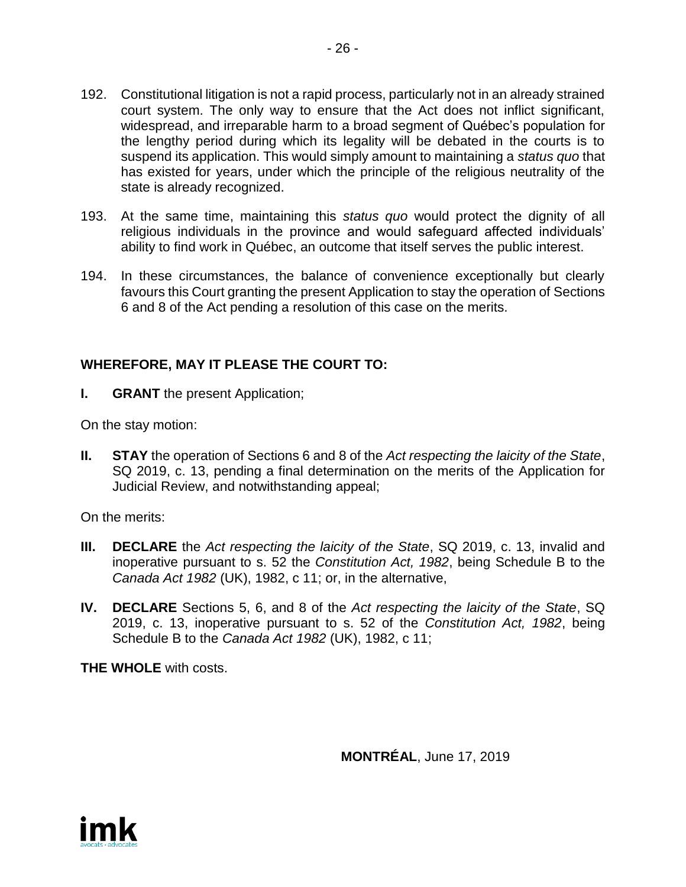- 192. Constitutional litigation is not a rapid process, particularly not in an already strained court system. The only way to ensure that the Act does not inflict significant, widespread, and irreparable harm to a broad segment of Québec's population for the lengthy period during which its legality will be debated in the courts is to suspend its application. This would simply amount to maintaining a *status quo* that has existed for years, under which the principle of the religious neutrality of the state is already recognized.
- 193. At the same time, maintaining this *status quo* would protect the dignity of all religious individuals in the province and would safeguard affected individuals' ability to find work in Québec, an outcome that itself serves the public interest.
- 194. In these circumstances, the balance of convenience exceptionally but clearly favours this Court granting the present Application to stay the operation of Sections 6 and 8 of the Act pending a resolution of this case on the merits.

# **WHEREFORE, MAY IT PLEASE THE COURT TO:**

**I. GRANT** the present Application;

On the stay motion:

**II. STAY** the operation of Sections 6 and 8 of the *Act respecting the laicity of the State*, SQ 2019, c. 13, pending a final determination on the merits of the Application for Judicial Review, and notwithstanding appeal;

On the merits:

- **III. DECLARE** the *Act respecting the laicity of the State*, SQ 2019, c. 13, invalid and inoperative pursuant to s. 52 the *Constitution Act, 1982*, being Schedule B to the *Canada Act 1982* (UK), 1982, c 11; or, in the alternative,
- **IV. DECLARE** Sections 5, 6, and 8 of the *Act respecting the laicity of the State*, SQ 2019, c. 13, inoperative pursuant to s. 52 of the *Constitution Act, 1982*, being Schedule B to the *Canada Act 1982* (UK), 1982, c 11;

**THE WHOLE** with costs.

**MONTRÉAL**, June 17, 2019

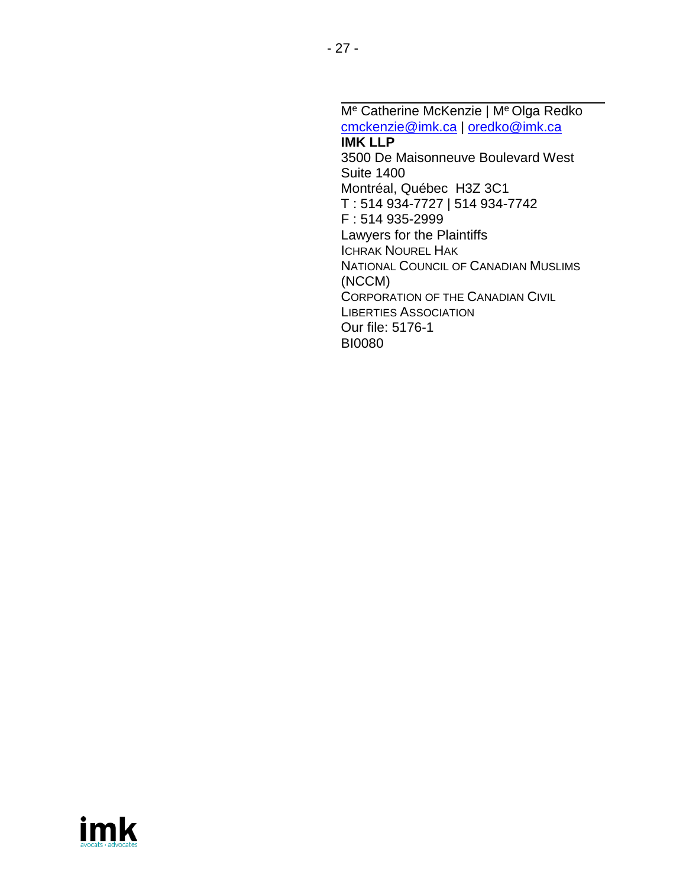M<sup>e</sup> Catherine McKenzie | M<sup>e</sup> Olga Redko [cmckenzie@imk.ca](mailto:cmckenzie@imk.ca) | [oredko@imk.ca](mailto:oredko@imk.ca) **IMK LLP** 3500 De Maisonneuve Boulevard West Suite 1400 Montréal, Québec H3Z 3C1 T : 514 934-7727 | 514 934-7742 F : 514 935-2999 Lawyers for the Plaintiffs ICHRAK NOUREL HAK NATIONAL COUNCIL OF CANADIAN MUSLIMS (NCCM) CORPORATION OF THE CANADIAN CIVIL LIBERTIES ASSOCIATION Our file: 5176-1 BI0080

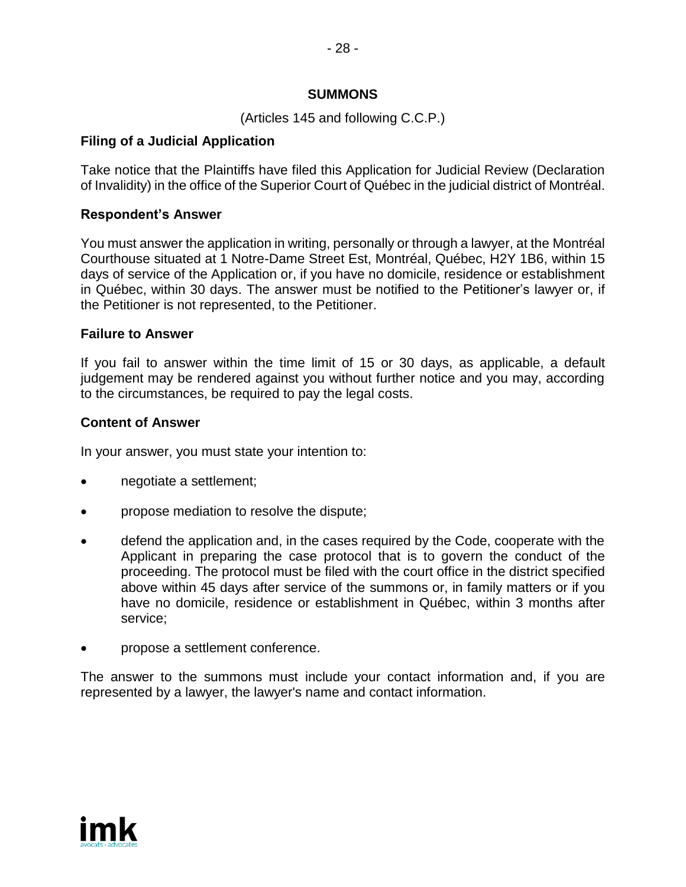## **SUMMONS**

(Articles 145 and following C.C.P.)

## **Filing of a Judicial Application**

Take notice that the Plaintiffs have filed this Application for Judicial Review (Declaration of Invalidity) in the office of the Superior Court of Québec in the judicial district of Montréal.

## **Respondent's Answer**

You must answer the application in writing, personally or through a lawyer, at the Montréal Courthouse situated at 1 Notre-Dame Street Est, Montréal, Québec, H2Y 1B6, within 15 days of service of the Application or, if you have no domicile, residence or establishment in Québec, within 30 days. The answer must be notified to the Petitioner's lawyer or, if the Petitioner is not represented, to the Petitioner.

## **Failure to Answer**

If you fail to answer within the time limit of 15 or 30 days, as applicable, a default judgement may be rendered against you without further notice and you may, according to the circumstances, be required to pay the legal costs.

## **Content of Answer**

In your answer, you must state your intention to:

- negotiate a settlement;
- propose mediation to resolve the dispute;
- defend the application and, in the cases required by the Code, cooperate with the Applicant in preparing the case protocol that is to govern the conduct of the proceeding. The protocol must be filed with the court office in the district specified above within 45 days after service of the summons or, in family matters or if you have no domicile, residence or establishment in Québec, within 3 months after service;
- propose a settlement conference.

The answer to the summons must include your contact information and, if you are represented by a lawyer, the lawyer's name and contact information.

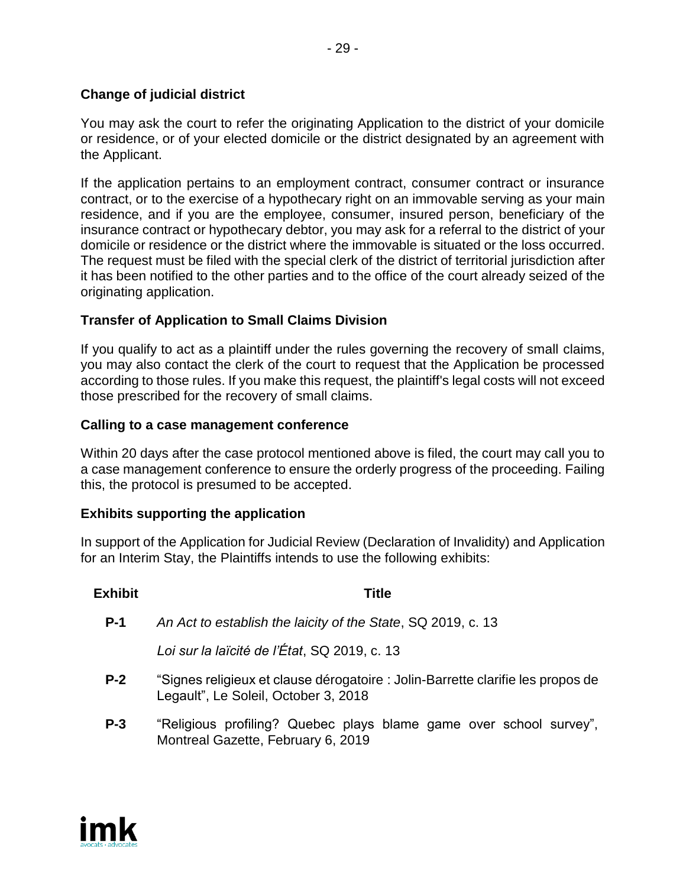# **Change of judicial district**

You may ask the court to refer the originating Application to the district of your domicile or residence, or of your elected domicile or the district designated by an agreement with the Applicant.

If the application pertains to an employment contract, consumer contract or insurance contract, or to the exercise of a hypothecary right on an immovable serving as your main residence, and if you are the employee, consumer, insured person, beneficiary of the insurance contract or hypothecary debtor, you may ask for a referral to the district of your domicile or residence or the district where the immovable is situated or the loss occurred. The request must be filed with the special clerk of the district of territorial jurisdiction after it has been notified to the other parties and to the office of the court already seized of the originating application.

# **Transfer of Application to Small Claims Division**

If you qualify to act as a plaintiff under the rules governing the recovery of small claims, you may also contact the clerk of the court to request that the Application be processed according to those rules. If you make this request, the plaintiff's legal costs will not exceed those prescribed for the recovery of small claims.

## **Calling to a case management conference**

Within 20 days after the case protocol mentioned above is filed, the court may call you to a case management conference to ensure the orderly progress of the proceeding. Failing this, the protocol is presumed to be accepted.

# **Exhibits supporting the application**

In support of the Application for Judicial Review (Declaration of Invalidity) and Application for an Interim Stay, the Plaintiffs intends to use the following exhibits:

| Title                                                                                                                   |
|-------------------------------------------------------------------------------------------------------------------------|
| An Act to establish the laicity of the State, SQ 2019, c. 13                                                            |
| Loi sur la laïcité de l'État, SQ 2019, c. 13                                                                            |
| "Signes religieux et clause dérogatoire : Jolin-Barrette clarifie les propos de<br>Legault", Le Soleil, October 3, 2018 |
| "Religious profiling? Quebec plays blame game over school survey",<br>Montreal Gazette, February 6, 2019                |
|                                                                                                                         |

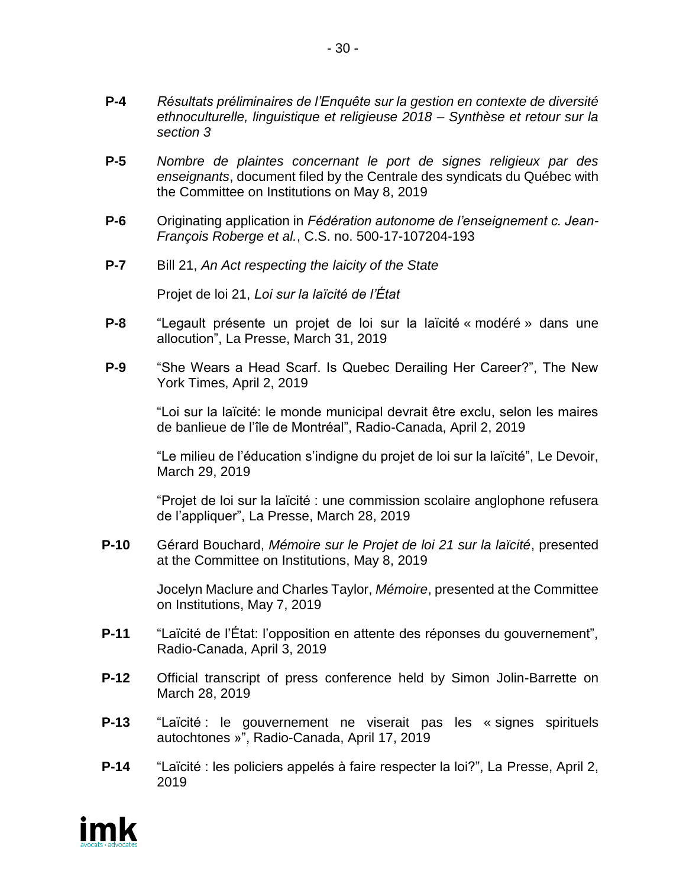- **P-4** *Résultats préliminaires de l'Enquête sur la gestion en contexte de diversité ethnoculturelle, linguistique et religieuse 2018 – Synthèse et retour sur la section 3*
- **P-5** *Nombre de plaintes concernant le port de signes religieux par des enseignants*, document filed by the Centrale des syndicats du Québec with the Committee on Institutions on May 8, 2019
- **P-6** Originating application in *Fédération autonome de l'enseignement c. Jean-François Roberge et al.*, C.S. no. 500-17-107204-193
- **P-7** Bill 21, *An Act respecting the laicity of the State*

Projet de loi 21, *Loi sur la laïcité de l'État*

- **P-8** "Legault présente un projet de loi sur la laïcité « modéré » dans une allocution", La Presse, March 31, 2019
- **P-9** "She Wears a Head Scarf. Is Quebec Derailing Her Career?", The New York Times, April 2, 2019

"Loi sur la laïcité: le monde municipal devrait être exclu, selon les maires de banlieue de l'île de Montréal", Radio-Canada, April 2, 2019

"Le milieu de l'éducation s'indigne du projet de loi sur la laïcité", Le Devoir, March 29, 2019

"Projet de loi sur la laïcité : une commission scolaire anglophone refusera de l'appliquer", La Presse, March 28, 2019

**P-10** Gérard Bouchard, *Mémoire sur le Projet de loi 21 sur la laïcité*, presented at the Committee on Institutions, May 8, 2019

> Jocelyn Maclure and Charles Taylor, *Mémoire*, presented at the Committee on Institutions, May 7, 2019

- **P-11** "Laïcité de l'État: l'opposition en attente des réponses du gouvernement", Radio-Canada, April 3, 2019
- **P-12** Official transcript of press conference held by Simon Jolin-Barrette on March 28, 2019
- **P-13** "Laïcité : le gouvernement ne viserait pas les « signes spirituels autochtones »", Radio-Canada, April 17, 2019
- **P-14** "Laïcité : les policiers appelés à faire respecter la loi?", La Presse, April 2, 2019

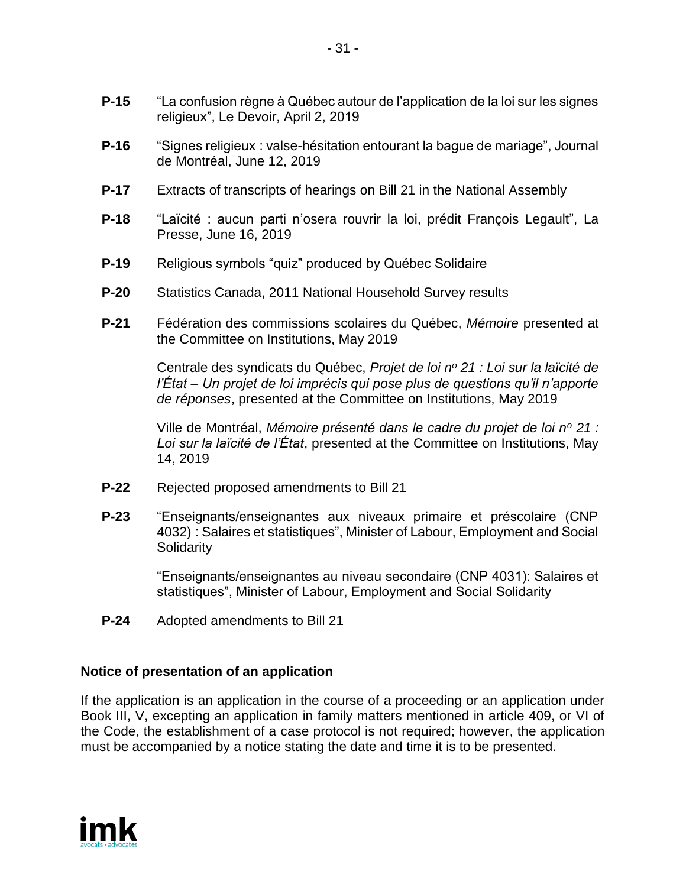- **P-16** "Signes religieux : valse-hésitation entourant la bague de mariage", Journal de Montréal, June 12, 2019
- **P-17** Extracts of transcripts of hearings on Bill 21 in the National Assembly
- **P-18** "Laïcité : aucun parti n'osera rouvrir la loi, prédit François Legault", La Presse, June 16, 2019
- **P-19** Religious symbols "quiz" produced by Québec Solidaire
- **P-20** Statistics Canada, 2011 National Household Survey results
- **P-21** Fédération des commissions scolaires du Québec, *Mémoire* presented at the Committee on Institutions, May 2019

Centrale des syndicats du Québec, *Projet de loi n<sup>o</sup> 21 : Loi sur la laïcité de l'État – Un projet de loi imprécis qui pose plus de questions qu'il n'apporte de réponses*, presented at the Committee on Institutions, May 2019

Ville de Montréal, *Mémoire présenté dans le cadre du projet de loi n<sup>o</sup> 21 : Loi sur la laïcité de l'État*, presented at the Committee on Institutions, May 14, 2019

- **P-22** Rejected proposed amendments to Bill 21
- **P-23** "Enseignants/enseignantes aux niveaux primaire et préscolaire (CNP 4032) : Salaires et statistiques", Minister of Labour, Employment and Social **Solidarity**

"Enseignants/enseignantes au niveau secondaire (CNP 4031): Salaires et statistiques", Minister of Labour, Employment and Social Solidarity

**P-24** Adopted amendments to Bill 21

# **Notice of presentation of an application**

If the application is an application in the course of a proceeding or an application under Book III, V, excepting an application in family matters mentioned in article 409, or VI of the Code, the establishment of a case protocol is not required; however, the application must be accompanied by a notice stating the date and time it is to be presented.

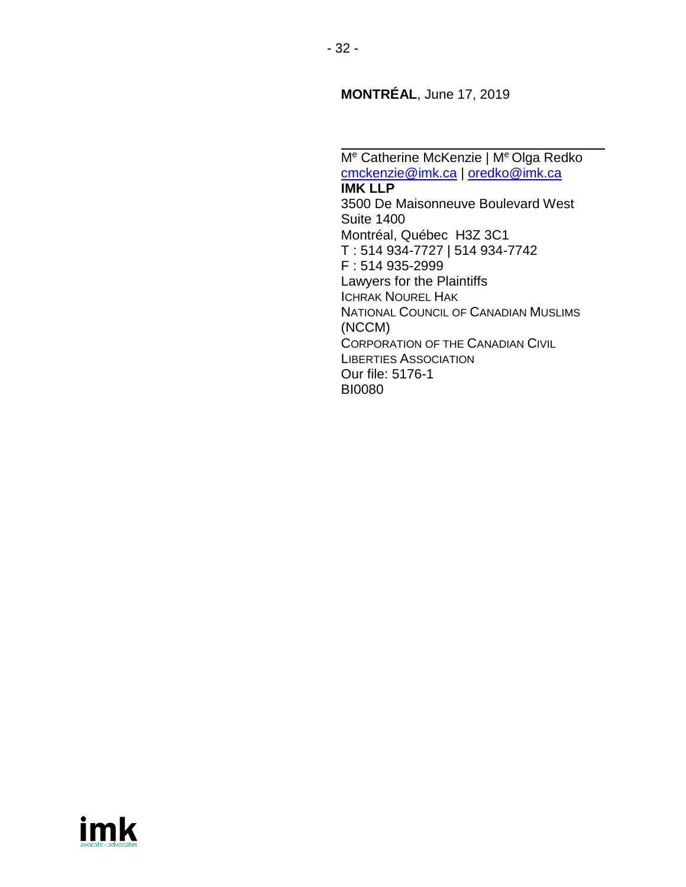**MONTRÉAL**, June 17, 2019

M<sup>e</sup> Catherine McKenzie | M<sup>e</sup> Olga Redko [cmckenzie@imk.ca](mailto:cmckenzie@imk.ca) | [oredko@imk.ca](mailto:oredko@imk.ca) **IMK LLP** 3500 De Maisonneuve Boulevard West Suite 1400 Montréal, Québec H3Z 3C1 T : 514 934-7727 | 514 934-7742 F : 514 935-2999 Lawyers for the Plaintiffs ICHRAK NOUREL HAK NATIONAL COUNCIL OF CANADIAN MUSLIMS (NCCM) CORPORATION OF THE CANADIAN CIVIL LIBERTIES ASSOCIATION Our file: 5176-1 BI0080

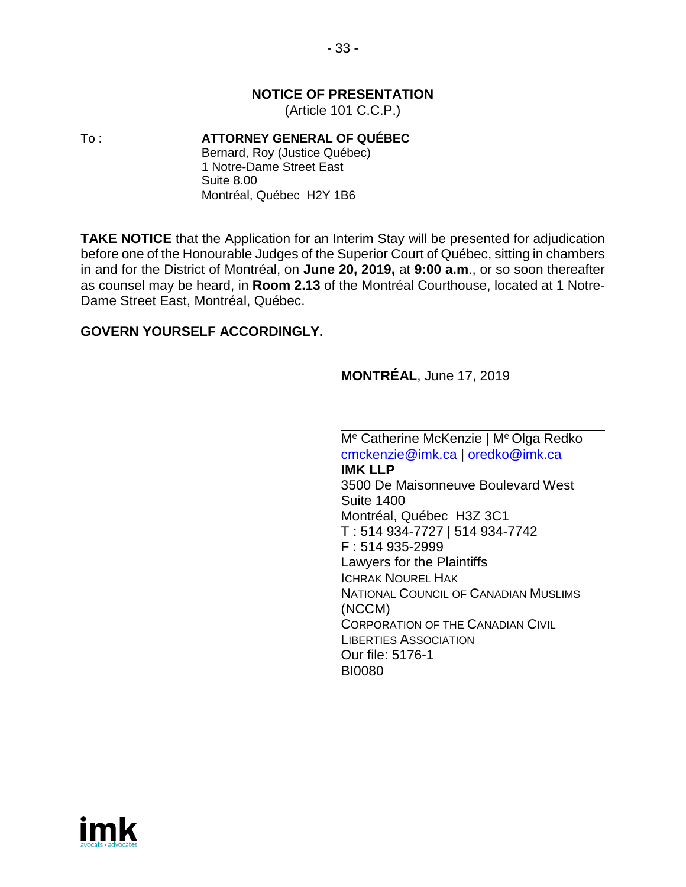## **NOTICE OF PRESENTATION**

(Article 101 C.C.P.)

To : **ATTORNEY GENERAL OF QUÉBEC**

Bernard, Roy (Justice Québec) 1 Notre-Dame Street East Suite 8.00 Montréal, Québec H2Y 1B6

**TAKE NOTICE** that the Application for an Interim Stay will be presented for adjudication before one of the Honourable Judges of the Superior Court of Québec, sitting in chambers in and for the District of Montréal, on **June 20, 2019,** at **9:00 a.m**., or so soon thereafter as counsel may be heard, in **Room 2.13** of the Montréal Courthouse, located at 1 Notre-Dame Street East, Montréal, Québec.

## **GOVERN YOURSELF ACCORDINGLY.**

## **MONTRÉAL**, June 17, 2019

M<sup>e</sup> Catherine McKenzie | M<sup>e</sup> Olga Redko [cmckenzie@imk.ca](mailto:cmckenzie@imk.ca) | [oredko@imk.ca](mailto:oredko@imk.ca) **IMK LLP** 3500 De Maisonneuve Boulevard West Suite 1400 Montréal, Québec H3Z 3C1 T : 514 934-7727 | 514 934-7742 F : 514 935-2999 Lawyers for the Plaintiffs ICHRAK NOUREL HAK NATIONAL COUNCIL OF CANADIAN MUSLIMS (NCCM) CORPORATION OF THE CANADIAN CIVIL LIBERTIES ASSOCIATION Our file: 5176-1 BI0080